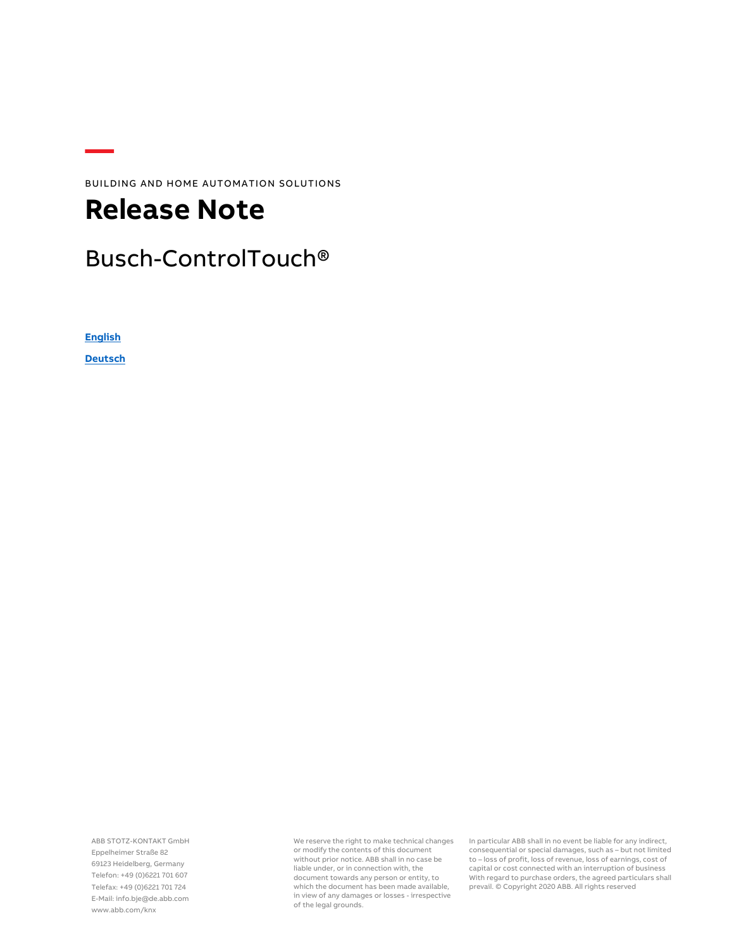BUILDING AND HOME AUTOMATION SOLUTIONS

## **Release Note**

#### Busch-ControlTouch®

**[English](#page-1-0)**

**[Deutsch](#page-13-0)**

ABB STOTZ-KONTAKT GmbH Eppelheimer Straße 82 69123 Heidelberg, Germany Telefon: +49 (0)6221 701 607 Telefax: +49 (0)6221 701 724 E-Mail: info.bje@de.abb.com www.abb.com/knx

We reserve the right to make technical changes or modify the contents of this document without prior notice. ABB shall in no case be liable under, or in connection with, the document towards any person or entity, to which the document has been made available, in view of any damages or losses - irrespective of the legal grounds.

In particular ABB shall in no event be liable for any indirect, consequential or special damages, such as – but not limited to – loss of profit, loss of revenue, loss of earnings, cost of capital or cost connected with an interruption of business With regard to purchase orders, the agreed particulars shall prevail. © Copyright 2020 ABB. All rights reserved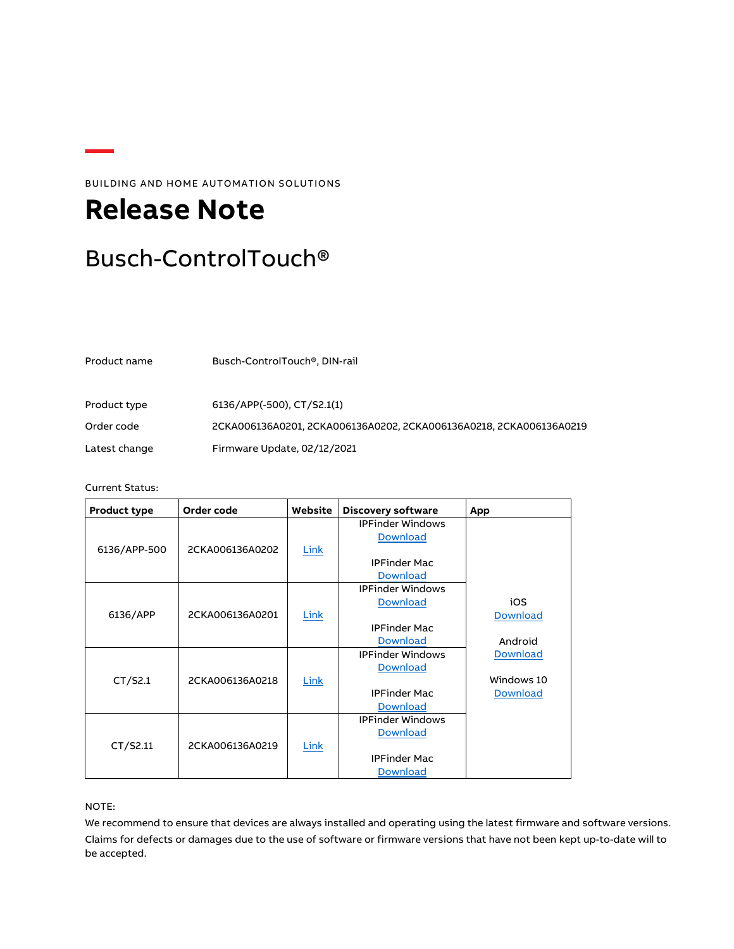BUILDING AND HOME AUTOMATION SOLUTIONS

# <span id="page-1-0"></span>**Release Note**

### Busch-ControlTouch®

Product name Busch-ControlTouch®, DIN-rail

Product type 6136/APP(-500), CT/S2.1(1) Order code 2CKA006136A0201, 2CKA006136A0202, 2CKA006136A0218, 2CKA006136A0219 Latest change Firmware Update, 02/12/2021

Current Status:

| Product type | Order code      | Website | <b>Discovery software</b> | App             |
|--------------|-----------------|---------|---------------------------|-----------------|
|              |                 |         | <b>IPFinder Windows</b>   |                 |
|              |                 |         | <b>Download</b>           |                 |
| 6136/APP-500 | 2CKA006136A0202 | Link    |                           |                 |
|              |                 |         | <b>IPFinder Mac</b>       |                 |
|              |                 |         | <b>Download</b>           |                 |
|              |                 |         | <b>IPFinder Windows</b>   |                 |
|              |                 |         | <b>Download</b>           | iOS             |
| 6136/APP     | 2CKA006136A0201 | Link    |                           | <b>Download</b> |
|              |                 |         | <b>IPFinder Mac</b>       |                 |
|              |                 |         | <b>Download</b>           | Android         |
|              |                 |         | <b>IPFinder Windows</b>   | <b>Download</b> |
|              |                 |         | <b>Download</b>           |                 |
| CT/52.1      | 2CKA006136A0218 | Link    |                           | Windows 10      |
|              |                 |         | <b>IPFinder Mac</b>       | <b>Download</b> |
|              |                 |         | <b>Download</b>           |                 |
|              |                 |         | <b>IPFinder Windows</b>   |                 |
|              |                 |         | <b>Download</b>           |                 |
| CT/S2.11     | 2CKA006136A0219 | Link    |                           |                 |
|              |                 |         | <b>IPFinder Mac</b>       |                 |
|              |                 |         | <b>Download</b>           |                 |

NOTE:

We recommend to ensure that devices are always installed and operating using the latest firmware and software versions. Claims for defects or damages due to the use of software or firmware versions that have not been kept up-to-date will to be accepted.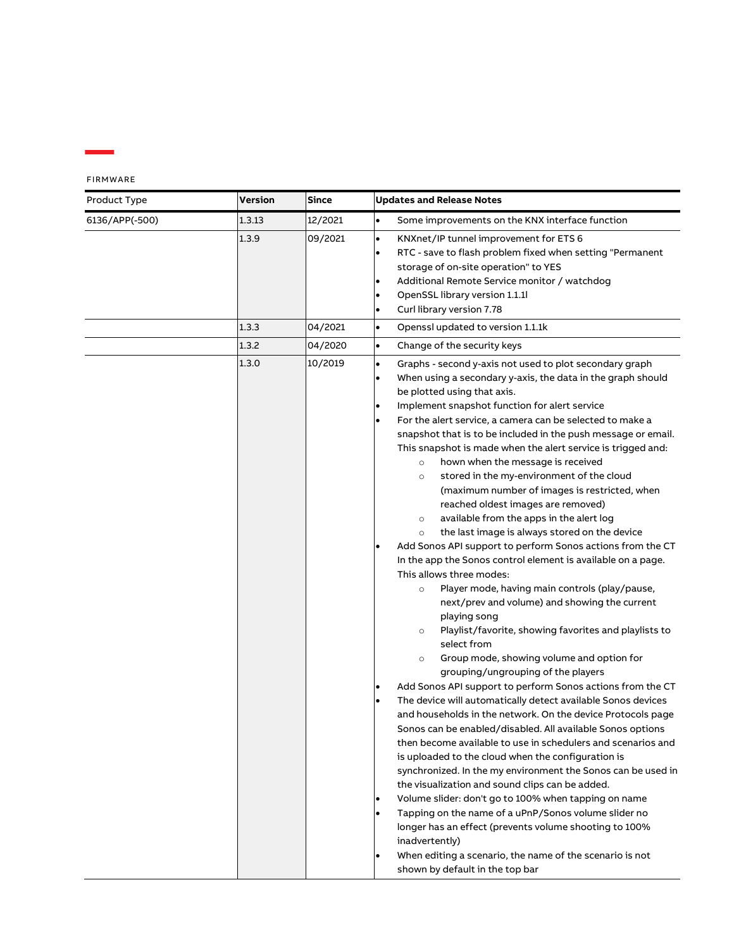| Product Type   | Version | <b>Since</b> | <b>Updates and Release Notes</b>                                                                                                                                                                                                                                                                                                                                                                                                                                                                                                                                                                                                                                                                                                                                                                                                                                                                                                                                                                                                                                                                                                                                                                                                                                                                                                                                                                                                                                                                                                                                                                                                                                                                                                                                                                                                                                                                                                                                         |
|----------------|---------|--------------|--------------------------------------------------------------------------------------------------------------------------------------------------------------------------------------------------------------------------------------------------------------------------------------------------------------------------------------------------------------------------------------------------------------------------------------------------------------------------------------------------------------------------------------------------------------------------------------------------------------------------------------------------------------------------------------------------------------------------------------------------------------------------------------------------------------------------------------------------------------------------------------------------------------------------------------------------------------------------------------------------------------------------------------------------------------------------------------------------------------------------------------------------------------------------------------------------------------------------------------------------------------------------------------------------------------------------------------------------------------------------------------------------------------------------------------------------------------------------------------------------------------------------------------------------------------------------------------------------------------------------------------------------------------------------------------------------------------------------------------------------------------------------------------------------------------------------------------------------------------------------------------------------------------------------------------------------------------------------|
| 6136/APP(-500) | 1.3.13  | 12/2021      | Some improvements on the KNX interface function<br>$\bullet$                                                                                                                                                                                                                                                                                                                                                                                                                                                                                                                                                                                                                                                                                                                                                                                                                                                                                                                                                                                                                                                                                                                                                                                                                                                                                                                                                                                                                                                                                                                                                                                                                                                                                                                                                                                                                                                                                                             |
|                | 1.3.9   | 09/2021      | KNXnet/IP tunnel improvement for ETS 6<br>$\bullet$<br>RTC - save to flash problem fixed when setting "Permanent<br>$\bullet$<br>storage of on-site operation" to YES<br>Additional Remote Service monitor / watchdog<br>$\bullet$<br>OpenSSL library version 1.1.1l<br>$\bullet$<br>Curl library version 7.78<br>$\bullet$                                                                                                                                                                                                                                                                                                                                                                                                                                                                                                                                                                                                                                                                                                                                                                                                                                                                                                                                                                                                                                                                                                                                                                                                                                                                                                                                                                                                                                                                                                                                                                                                                                              |
|                | 1.3.3   | 04/2021      | Openssl updated to version 1.1.1k<br>$\bullet$                                                                                                                                                                                                                                                                                                                                                                                                                                                                                                                                                                                                                                                                                                                                                                                                                                                                                                                                                                                                                                                                                                                                                                                                                                                                                                                                                                                                                                                                                                                                                                                                                                                                                                                                                                                                                                                                                                                           |
|                | 1.3.2   | 04/2020      | Change of the security keys<br>$\bullet$                                                                                                                                                                                                                                                                                                                                                                                                                                                                                                                                                                                                                                                                                                                                                                                                                                                                                                                                                                                                                                                                                                                                                                                                                                                                                                                                                                                                                                                                                                                                                                                                                                                                                                                                                                                                                                                                                                                                 |
|                | 1.3.0   | 10/2019      | Graphs - second y-axis not used to plot secondary graph<br>$\bullet$<br>When using a secondary y-axis, the data in the graph should<br>be plotted using that axis.<br>Implement snapshot function for alert service<br>For the alert service, a camera can be selected to make a<br>snapshot that is to be included in the push message or email.<br>This snapshot is made when the alert service is trigged and:<br>hown when the message is received<br>$\circ$<br>stored in the my-environment of the cloud<br>$\circ$<br>(maximum number of images is restricted, when<br>reached oldest images are removed)<br>available from the apps in the alert log<br>$\circ$<br>the last image is always stored on the device<br>$\circ$<br>Add Sonos API support to perform Sonos actions from the CT<br>In the app the Sonos control element is available on a page.<br>This allows three modes:<br>Player mode, having main controls (play/pause,<br>$\circ$<br>next/prev and volume) and showing the current<br>playing song<br>Playlist/favorite, showing favorites and playlists to<br>$\circ$<br>select from<br>Group mode, showing volume and option for<br>$\circ$<br>grouping/ungrouping of the players<br>Add Sonos API support to perform Sonos actions from the CT<br>The device will automatically detect available Sonos devices<br>and households in the network. On the device Protocols page<br>Sonos can be enabled/disabled. All available Sonos options<br>then become available to use in schedulers and scenarios and<br>is uploaded to the cloud when the configuration is<br>synchronized. In the my environment the Sonos can be used in<br>the visualization and sound clips can be added.<br>Volume slider: don't go to 100% when tapping on name<br>Tapping on the name of a uPnP/Sonos volume slider no<br>longer has an effect (prevents volume shooting to 100%<br>inadvertently)<br>When editing a scenario, the name of the scenario is not |
|                |         |              | shown by default in the top bar                                                                                                                                                                                                                                                                                                                                                                                                                                                                                                                                                                                                                                                                                                                                                                                                                                                                                                                                                                                                                                                                                                                                                                                                                                                                                                                                                                                                                                                                                                                                                                                                                                                                                                                                                                                                                                                                                                                                          |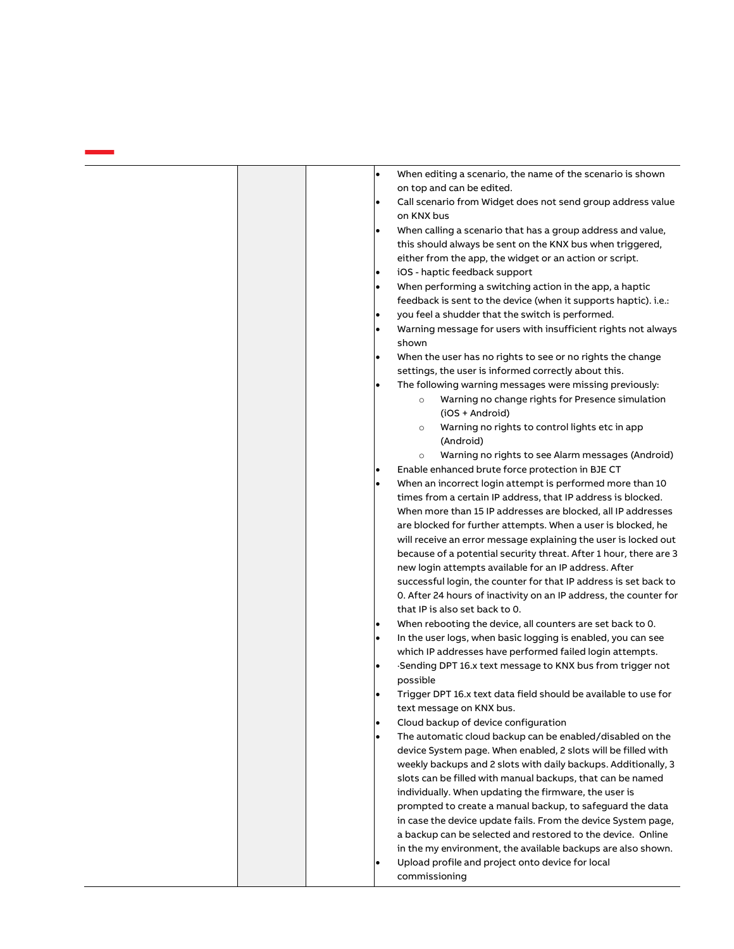|  | $\bullet$ | When editing a scenario, the name of the scenario is shown                                                                   |
|--|-----------|------------------------------------------------------------------------------------------------------------------------------|
|  |           | on top and can be edited.                                                                                                    |
|  | $\bullet$ | Call scenario from Widget does not send group address value<br>on KNX bus                                                    |
|  | $\bullet$ | When calling a scenario that has a group address and value,                                                                  |
|  |           | this should always be sent on the KNX bus when triggered,                                                                    |
|  |           | either from the app, the widget or an action or script.                                                                      |
|  | ٠         | iOS - haptic feedback support                                                                                                |
|  | $\bullet$ | When performing a switching action in the app, a haptic                                                                      |
|  |           | feedback is sent to the device (when it supports haptic). i.e.:                                                              |
|  | ٠         | you feel a shudder that the switch is performed.                                                                             |
|  | $\bullet$ | Warning message for users with insufficient rights not always                                                                |
|  |           | shown                                                                                                                        |
|  | $\bullet$ | When the user has no rights to see or no rights the change                                                                   |
|  |           | settings, the user is informed correctly about this.                                                                         |
|  | $\bullet$ | The following warning messages were missing previously:                                                                      |
|  |           | Warning no change rights for Presence simulation<br>$\circ$                                                                  |
|  |           | (iOS + Android)                                                                                                              |
|  |           | Warning no rights to control lights etc in app<br>$\circ$                                                                    |
|  |           | (Android)                                                                                                                    |
|  |           | Warning no rights to see Alarm messages (Android)<br>$\circ$                                                                 |
|  |           | Enable enhanced brute force protection in BJE CT                                                                             |
|  | $\bullet$ | When an incorrect login attempt is performed more than 10                                                                    |
|  |           | times from a certain IP address, that IP address is blocked.                                                                 |
|  |           | When more than 15 IP addresses are blocked, all IP addresses                                                                 |
|  |           | are blocked for further attempts. When a user is blocked, he                                                                 |
|  |           | will receive an error message explaining the user is locked out                                                              |
|  |           | because of a potential security threat. After 1 hour, there are 3                                                            |
|  |           | new login attempts available for an IP address. After                                                                        |
|  |           | successful login, the counter for that IP address is set back to                                                             |
|  |           | 0. After 24 hours of inactivity on an IP address, the counter for                                                            |
|  |           | that IP is also set back to 0.                                                                                               |
|  |           | When rebooting the device, all counters are set back to 0.                                                                   |
|  | $\bullet$ | In the user logs, when basic logging is enabled, you can see                                                                 |
|  |           | which IP addresses have performed failed login attempts.                                                                     |
|  |           | Sending DPT 16.x text message to KNX bus from trigger not                                                                    |
|  |           | possible                                                                                                                     |
|  |           | Trigger DPT 16.x text data field should be available to use for                                                              |
|  |           | text message on KNX bus.                                                                                                     |
|  | $\bullet$ | Cloud backup of device configuration                                                                                         |
|  | $\bullet$ | The automatic cloud backup can be enabled/disabled on the                                                                    |
|  |           | device System page. When enabled, 2 slots will be filled with                                                                |
|  |           | weekly backups and 2 slots with daily backups. Additionally, 3                                                               |
|  |           | slots can be filled with manual backups, that can be named                                                                   |
|  |           | individually. When updating the firmware, the user is                                                                        |
|  |           |                                                                                                                              |
|  |           |                                                                                                                              |
|  |           | prompted to create a manual backup, to safeguard the data                                                                    |
|  |           |                                                                                                                              |
|  |           | in case the device update fails. From the device System page,<br>a backup can be selected and restored to the device. Online |
|  | $\bullet$ | in the my environment, the available backups are also shown.<br>Upload profile and project onto device for local             |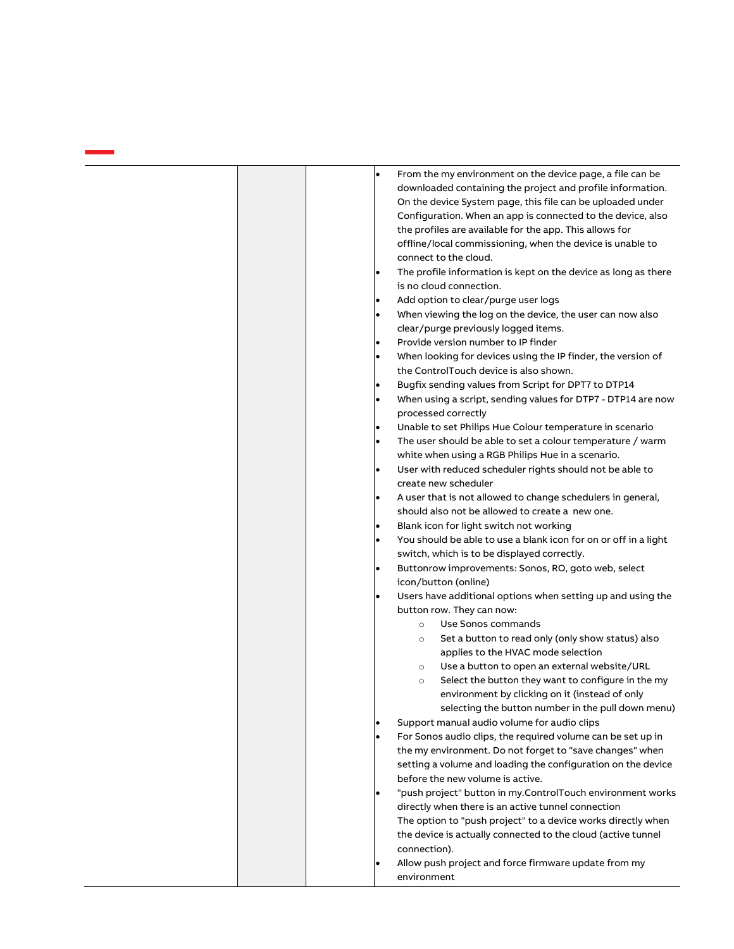| From the my environment on the device page, a file can be<br>$\bullet$                                              |
|---------------------------------------------------------------------------------------------------------------------|
| downloaded containing the project and profile information.                                                          |
| On the device System page, this file can be uploaded under                                                          |
| Configuration. When an app is connected to the device, also                                                         |
| the profiles are available for the app. This allows for                                                             |
| offline/local commissioning, when the device is unable to                                                           |
| connect to the cloud.                                                                                               |
| The profile information is kept on the device as long as there<br>$\bullet$                                         |
| is no cloud connection.                                                                                             |
| Add option to clear/purge user logs<br>$\bullet$                                                                    |
| When viewing the log on the device, the user can now also<br>$\bullet$<br>clear/purge previously logged items.      |
| Provide version number to IP finder<br>$\bullet$                                                                    |
| When looking for devices using the IP finder, the version of<br>$\bullet$<br>the ControlTouch device is also shown. |
| Bugfix sending values from Script for DPT7 to DTP14<br>٠                                                            |
| When using a script, sending values for DTP7 - DTP14 are now<br>٠                                                   |
| processed correctly                                                                                                 |
| Unable to set Philips Hue Colour temperature in scenario<br>٠                                                       |
| The user should be able to set a colour temperature / warm<br>$\bullet$                                             |
| white when using a RGB Philips Hue in a scenario.                                                                   |
| User with reduced scheduler rights should not be able to<br>$\bullet$                                               |
| create new scheduler                                                                                                |
| A user that is not allowed to change schedulers in general,<br>$\bullet$                                            |
| should also not be allowed to create a new one.                                                                     |
| Blank icon for light switch not working<br>$\bullet$                                                                |
| $\bullet$                                                                                                           |
| You should be able to use a blank icon for on or off in a light<br>switch, which is to be displayed correctly.      |
| Buttonrow improvements: Sonos, RO, goto web, select<br>$\bullet$                                                    |
| icon/button (online)                                                                                                |
| Users have additional options when setting up and using the<br>$\bullet$                                            |
| button row. They can now:                                                                                           |
| Use Sonos commands<br>$\circ$                                                                                       |
| Set a button to read only (only show status) also<br>$\circ$<br>applies to the HVAC mode selection                  |
| Use a button to open an external website/URL<br>$\circ$                                                             |
| Select the button they want to configure in the my<br>$\circ$                                                       |
| environment by clicking on it (instead of only                                                                      |
| selecting the button number in the pull down menu)                                                                  |
| Support manual audio volume for audio clips                                                                         |
| For Sonos audio clips, the required volume can be set up in                                                         |
| the my environment. Do not forget to "save changes" when                                                            |
| setting a volume and loading the configuration on the device                                                        |
| before the new volume is active.                                                                                    |
| "push project" button in my.ControlTouch environment works                                                          |
| directly when there is an active tunnel connection                                                                  |
| The option to "push project" to a device works directly when                                                        |
| the device is actually connected to the cloud (active tunnel                                                        |
| connection).                                                                                                        |
|                                                                                                                     |
| Allow push project and force firmware update from my<br>$\bullet$                                                   |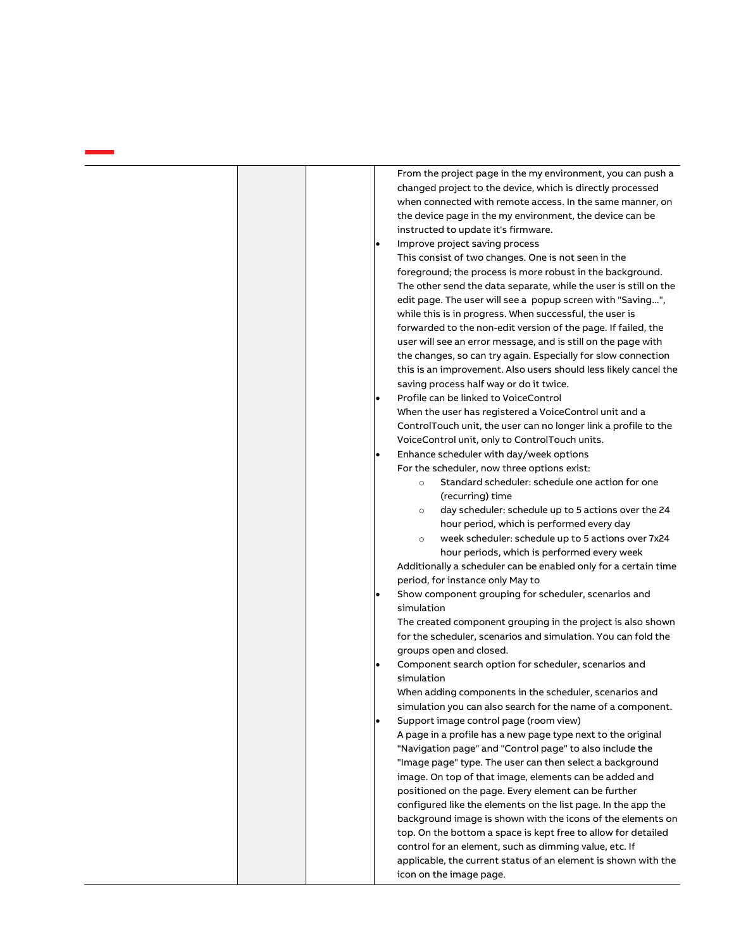| From the project page in the my environment, you can push a<br>changed project to the device, which is directly processed<br>when connected with remote access. In the same manner, on<br>the device page in the my environment, the device can be<br>instructed to update it's firmware.<br>Improve project saving process<br>This consist of two changes. One is not seen in the<br>foreground; the process is more robust in the background.<br>The other send the data separate, while the user is still on the<br>edit page. The user will see a popup screen with "Saving",<br>while this is in progress. When successful, the user is<br>forwarded to the non-edit version of the page. If failed, the<br>user will see an error message, and is still on the page with<br>the changes, so can try again. Especially for slow connection<br>this is an improvement. Also users should less likely cancel the<br>saving process half way or do it twice.<br>Profile can be linked to VoiceControl<br>$\bullet$<br>When the user has registered a VoiceControl unit and a<br>ControlTouch unit, the user can no longer link a profile to the<br>VoiceControl unit, only to ControlTouch units.<br>Enhance scheduler with day/week options<br>٠<br>For the scheduler, now three options exist:<br>Standard scheduler: schedule one action for one<br>$\circ$<br>(recurring) time<br>day scheduler: schedule up to 5 actions over the 24<br>$\circ$<br>hour period, which is performed every day<br>week scheduler: schedule up to 5 actions over 7x24<br>$\circ$<br>hour periods, which is performed every week |
|---------------------------------------------------------------------------------------------------------------------------------------------------------------------------------------------------------------------------------------------------------------------------------------------------------------------------------------------------------------------------------------------------------------------------------------------------------------------------------------------------------------------------------------------------------------------------------------------------------------------------------------------------------------------------------------------------------------------------------------------------------------------------------------------------------------------------------------------------------------------------------------------------------------------------------------------------------------------------------------------------------------------------------------------------------------------------------------------------------------------------------------------------------------------------------------------------------------------------------------------------------------------------------------------------------------------------------------------------------------------------------------------------------------------------------------------------------------------------------------------------------------------------------------------------------------------------------------------------------------------|
| Additionally a scheduler can be enabled only for a certain time<br>period, for instance only May to<br>Show component grouping for scheduler, scenarios and<br>$\bullet$<br>simulation                                                                                                                                                                                                                                                                                                                                                                                                                                                                                                                                                                                                                                                                                                                                                                                                                                                                                                                                                                                                                                                                                                                                                                                                                                                                                                                                                                                                                              |
| The created component grouping in the project is also shown<br>for the scheduler, scenarios and simulation. You can fold the<br>groups open and closed.<br>Component search option for scheduler, scenarios and<br>$\bullet$                                                                                                                                                                                                                                                                                                                                                                                                                                                                                                                                                                                                                                                                                                                                                                                                                                                                                                                                                                                                                                                                                                                                                                                                                                                                                                                                                                                        |
| simulation<br>When adding components in the scheduler, scenarios and<br>simulation you can also search for the name of a component.                                                                                                                                                                                                                                                                                                                                                                                                                                                                                                                                                                                                                                                                                                                                                                                                                                                                                                                                                                                                                                                                                                                                                                                                                                                                                                                                                                                                                                                                                 |
| Support image control page (room view)<br>٠<br>A page in a profile has a new page type next to the original<br>"Navigation page" and "Control page" to also include the<br>"Image page" type. The user can then select a background<br>image. On top of that image, elements can be added and<br>positioned on the page. Every element can be further<br>configured like the elements on the list page. In the app the<br>background image is shown with the icons of the elements on<br>top. On the bottom a space is kept free to allow for detailed<br>control for an element, such as dimming value, etc. If<br>applicable, the current status of an element is shown with the<br>icon on the image page.                                                                                                                                                                                                                                                                                                                                                                                                                                                                                                                                                                                                                                                                                                                                                                                                                                                                                                       |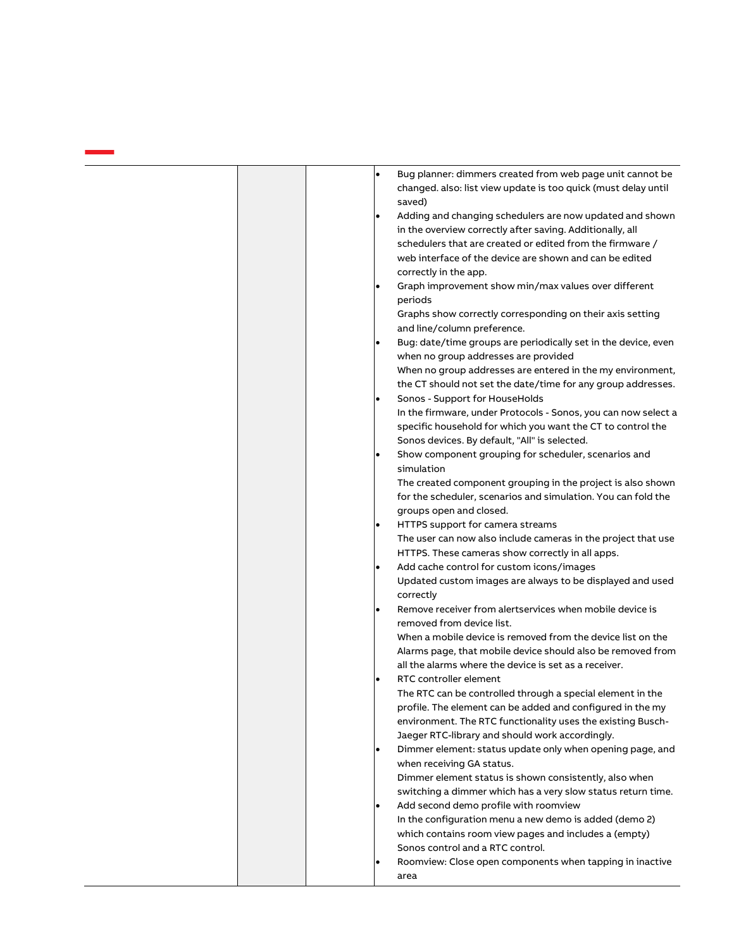| Bug planner: dimmers created from web page unit cannot be<br>$\bullet$<br>changed. also: list view update is too quick (must delay until<br>saved)<br>Adding and changing schedulers are now updated and shown<br>in the overview correctly after saving. Additionally, all<br>schedulers that are created or edited from the firmware /<br>web interface of the device are shown and can be edited<br>correctly in the app.<br>Graph improvement show min/max values over different<br>periods<br>Graphs show correctly corresponding on their axis setting |
|--------------------------------------------------------------------------------------------------------------------------------------------------------------------------------------------------------------------------------------------------------------------------------------------------------------------------------------------------------------------------------------------------------------------------------------------------------------------------------------------------------------------------------------------------------------|
| and line/column preference.<br>Bug: date/time groups are periodically set in the device, even                                                                                                                                                                                                                                                                                                                                                                                                                                                                |
| when no group addresses are provided<br>When no group addresses are entered in the my environment,<br>the CT should not set the date/time for any group addresses.                                                                                                                                                                                                                                                                                                                                                                                           |
| Sonos - Support for HouseHolds<br>In the firmware, under Protocols - Sonos, you can now select a<br>specific household for which you want the CT to control the<br>Sonos devices. By default, "All" is selected.                                                                                                                                                                                                                                                                                                                                             |
| Show component grouping for scheduler, scenarios and<br>simulation<br>The created component grouping in the project is also shown<br>for the scheduler, scenarios and simulation. You can fold the<br>groups open and closed.                                                                                                                                                                                                                                                                                                                                |
| HTTPS support for camera streams<br>The user can now also include cameras in the project that use<br>HTTPS. These cameras show correctly in all apps.                                                                                                                                                                                                                                                                                                                                                                                                        |
| Add cache control for custom icons/images<br>Updated custom images are always to be displayed and used<br>correctly                                                                                                                                                                                                                                                                                                                                                                                                                                          |
| Remove receiver from alertservices when mobile device is<br>removed from device list.<br>When a mobile device is removed from the device list on the<br>Alarms page, that mobile device should also be removed from<br>all the alarms where the device is set as a receiver.                                                                                                                                                                                                                                                                                 |
| RTC controller element<br>The RTC can be controlled through a special element in the<br>profile. The element can be added and configured in the my<br>environment. The RTC functionality uses the existing Busch-<br>Jaeger RTC-library and should work accordingly.                                                                                                                                                                                                                                                                                         |
| Dimmer element: status update only when opening page, and<br>when receiving GA status.<br>Dimmer element status is shown consistently, also when<br>switching a dimmer which has a very slow status return time.                                                                                                                                                                                                                                                                                                                                             |
| Add second demo profile with roomview<br>In the configuration menu a new demo is added (demo 2)<br>which contains room view pages and includes a (empty)<br>Sonos control and a RTC control.                                                                                                                                                                                                                                                                                                                                                                 |
| Roomview: Close open components when tapping in inactive<br>area                                                                                                                                                                                                                                                                                                                                                                                                                                                                                             |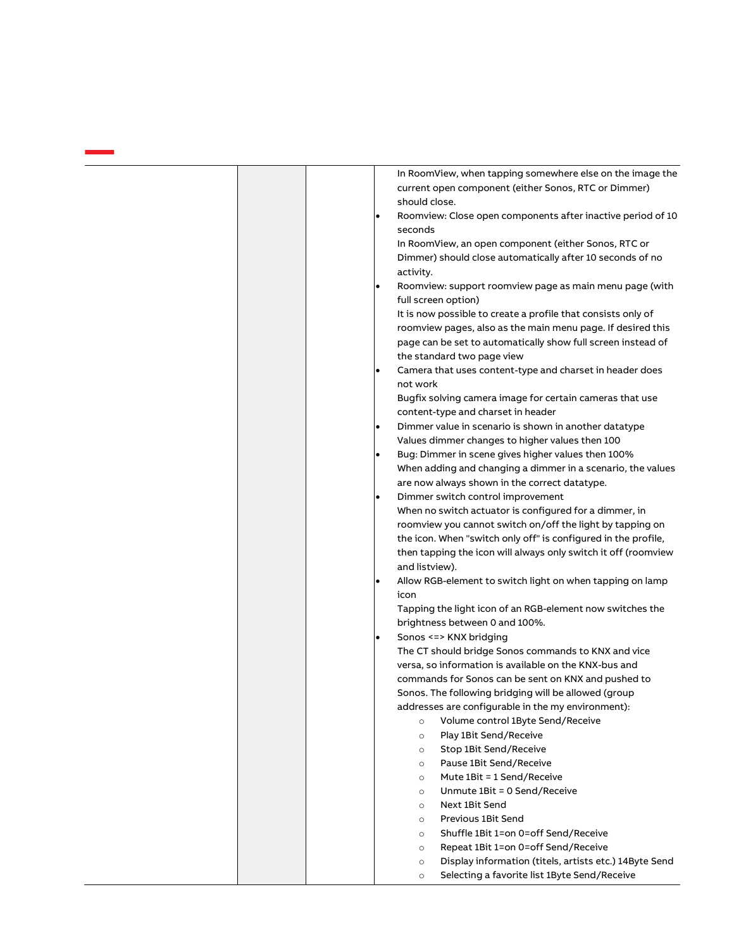| In RoomView, when tapping somewhere else on the image the<br>current open component (either Sonos, RTC or Dimmer)<br>should close.<br>Roomview: Close open components after inactive period of 10<br>seconds<br>In RoomView, an open component (either Sonos, RTC or<br>Dimmer) should close automatically after 10 seconds of no<br>activity.<br>Roomview: support roomview page as main menu page (with<br>$\bullet$<br>full screen option)<br>It is now possible to create a profile that consists only of<br>roomview pages, also as the main menu page. If desired this<br>page can be set to automatically show full screen instead of<br>the standard two page view<br>Camera that uses content-type and charset in header does<br>not work<br>Bugfix solving camera image for certain cameras that use<br>content-type and charset in header<br>Dimmer value in scenario is shown in another datatype                                                                                                                                                                                                                |
|------------------------------------------------------------------------------------------------------------------------------------------------------------------------------------------------------------------------------------------------------------------------------------------------------------------------------------------------------------------------------------------------------------------------------------------------------------------------------------------------------------------------------------------------------------------------------------------------------------------------------------------------------------------------------------------------------------------------------------------------------------------------------------------------------------------------------------------------------------------------------------------------------------------------------------------------------------------------------------------------------------------------------------------------------------------------------------------------------------------------------|
| Values dimmer changes to higher values then 100<br>Bug: Dimmer in scene gives higher values then 100%<br>When adding and changing a dimmer in a scenario, the values<br>are now always shown in the correct datatype.<br>Dimmer switch control improvement<br>When no switch actuator is configured for a dimmer, in<br>roomview you cannot switch on/off the light by tapping on<br>the icon. When "switch only off" is configured in the profile,<br>then tapping the icon will always only switch it off (roomview<br>and listview).<br>Allow RGB-element to switch light on when tapping on lamp<br>icon<br>Tapping the light icon of an RGB-element now switches the<br>brightness between 0 and 100%.<br>Sonos <=> KNX bridging<br>$\bullet$<br>The CT should bridge Sonos commands to KNX and vice<br>versa, so information is available on the KNX-bus and<br>commands for Sonos can be sent on KNX and pushed to<br>Sonos. The following bridging will be allowed (group<br>addresses are configurable in the my environment):<br>Volume control 1Byte Send/Receive<br>$\circ$<br>Play 1Bit Send/Receive<br>$\circ$ |
|                                                                                                                                                                                                                                                                                                                                                                                                                                                                                                                                                                                                                                                                                                                                                                                                                                                                                                                                                                                                                                                                                                                              |
| Stop 1Bit Send/Receive<br>$\circ$                                                                                                                                                                                                                                                                                                                                                                                                                                                                                                                                                                                                                                                                                                                                                                                                                                                                                                                                                                                                                                                                                            |
| Pause 1Bit Send/Receive<br>$\circ$<br>Mute 1Bit = 1 Send/Receive<br>$\circ$<br>Unmute 1Bit = 0 Send/Receive<br>$\circ$<br>Next 1Bit Send<br>$\circ$<br>Previous 1Bit Send<br>$\circ$<br>Shuffle 1Bit 1=on 0=off Send/Receive<br>$\circ$<br>Repeat 1Bit 1=on 0=off Send/Receive<br>$\circ$<br>Display information (titels, artists etc.) 14Byte Send<br>$\circ$                                                                                                                                                                                                                                                                                                                                                                                                                                                                                                                                                                                                                                                                                                                                                               |
|                                                                                                                                                                                                                                                                                                                                                                                                                                                                                                                                                                                                                                                                                                                                                                                                                                                                                                                                                                                                                                                                                                                              |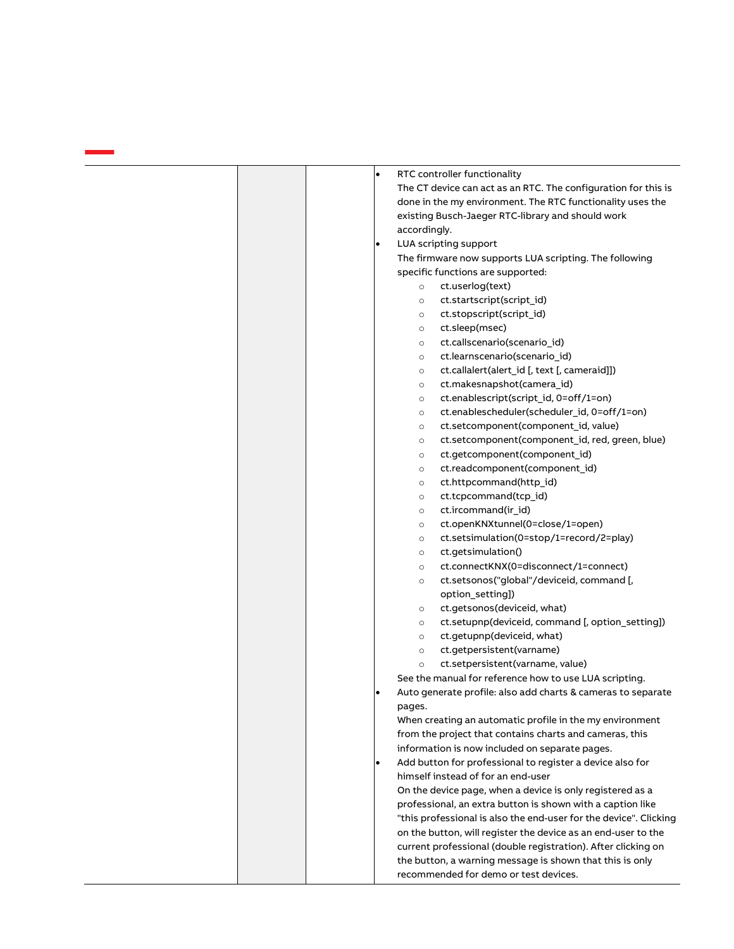|  | $\bullet$ | RTC controller functionality                                      |
|--|-----------|-------------------------------------------------------------------|
|  |           | The CT device can act as an RTC. The configuration for this is    |
|  |           | done in the my environment. The RTC functionality uses the        |
|  |           | existing Busch-Jaeger RTC-library and should work                 |
|  |           | accordingly.                                                      |
|  | ٠         | LUA scripting support                                             |
|  |           | The firmware now supports LUA scripting. The following            |
|  |           | specific functions are supported:                                 |
|  |           | ct.userlog(text)<br>$\circ$                                       |
|  |           | ct.startscript(script_id)<br>$\circ$                              |
|  |           | ct.stopscript(script_id)<br>$\circ$                               |
|  |           | ct.sleep(msec)<br>$\circ$                                         |
|  |           | ct.callscenario(scenario_id)<br>$\circ$                           |
|  |           | ct.learnscenario(scenario_id)<br>$\circ$                          |
|  |           | ct.callalert(alert_id [, text [, cameraid]])<br>$\circ$           |
|  |           | ct.makesnapshot(camera_id)<br>$\circ$                             |
|  |           | ct.enablescript(script_id, 0=off/1=on)<br>$\circ$                 |
|  |           | ct.enablescheduler(scheduler_id, 0=off/1=on)<br>$\circ$           |
|  |           | ct.setcomponent(component id, value)                              |
|  |           | $\circ$<br>ct.setcomponent(component_id, red, green, blue)        |
|  |           | $\circ$                                                           |
|  |           | ct.getcomponent(component_id)<br>$\circ$                          |
|  |           | ct.readcomponent(component_id)<br>$\circ$                         |
|  |           | ct.httpcommand(http_id)<br>$\circ$                                |
|  |           | ct.tcpcommand(tcp_id)<br>$\circ$                                  |
|  |           | ct.ircommand(ir_id)<br>$\circ$                                    |
|  |           | ct.openKNXtunnel(0=close/1=open)<br>$\circ$                       |
|  |           | ct.setsimulation(0=stop/1=record/2=play)<br>$\circ$               |
|  |           | ct.getsimulation()<br>$\circ$                                     |
|  |           | ct.connectKNX(0=disconnect/1=connect)<br>$\circ$                  |
|  |           | ct.setsonos("global"/deviceid, command [,<br>$\circ$              |
|  |           | option_setting])                                                  |
|  |           | ct.getsonos(deviceid, what)<br>$\circ$                            |
|  |           | ct.setupnp(deviceid, command [, option_setting])<br>$\circ$       |
|  |           | ct.getupnp(deviceid, what)<br>$\circ$                             |
|  |           | ct.getpersistent(varname)<br>$\circ$                              |
|  |           | ct.setpersistent(varname, value)<br>$\circ$                       |
|  |           | See the manual for reference how to use LUA scripting.            |
|  | ٠         | Auto generate profile: also add charts & cameras to separate      |
|  |           | pages.                                                            |
|  |           | When creating an automatic profile in the my environment          |
|  |           | from the project that contains charts and cameras, this           |
|  |           | information is now included on separate pages.                    |
|  | $\bullet$ | Add button for professional to register a device also for         |
|  |           | himself instead of for an end-user                                |
|  |           | On the device page, when a device is only registered as a         |
|  |           | professional, an extra button is shown with a caption like        |
|  |           | "this professional is also the end-user for the device". Clicking |
|  |           | on the button, will register the device as an end-user to the     |
|  |           | current professional (double registration). After clicking on     |
|  |           | the button, a warning message is shown that this is only          |
|  |           | recommended for demo or test devices.                             |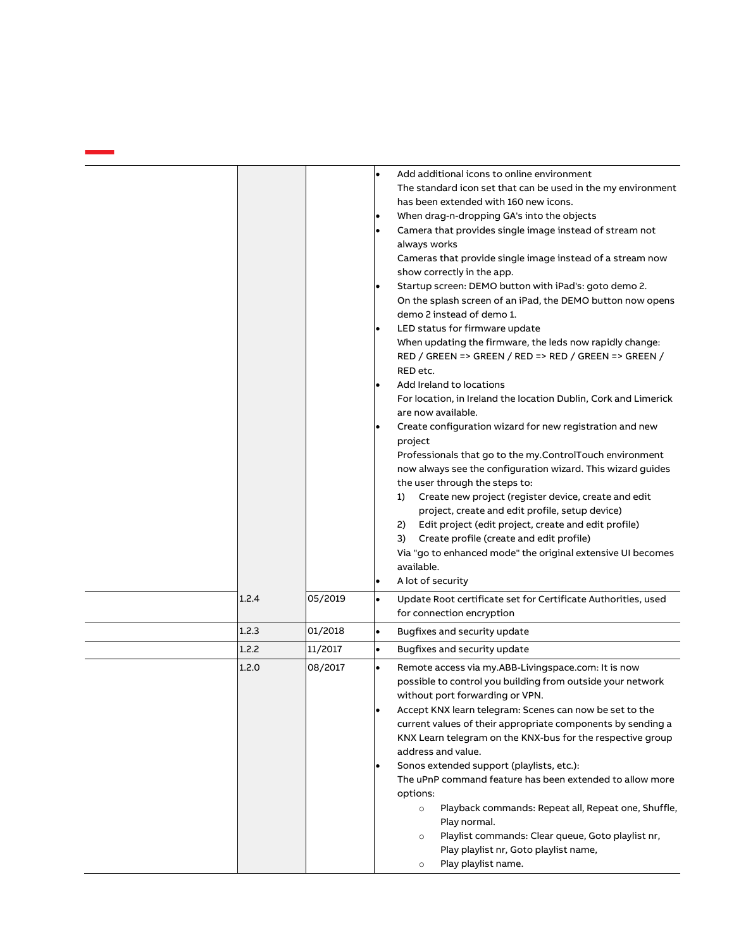|       |         | Add additional icons to online environment<br>$\bullet$<br>The standard icon set that can be used in the my environment<br>has been extended with 160 new icons.<br>When drag-n-dropping GA's into the objects<br>Camera that provides single image instead of stream not<br>always works<br>Cameras that provide single image instead of a stream now<br>show correctly in the app.<br>Startup screen: DEMO button with iPad's: goto demo 2.<br>On the splash screen of an iPad, the DEMO button now opens<br>demo 2 instead of demo 1.                                                                                                                                                                                                       |
|-------|---------|------------------------------------------------------------------------------------------------------------------------------------------------------------------------------------------------------------------------------------------------------------------------------------------------------------------------------------------------------------------------------------------------------------------------------------------------------------------------------------------------------------------------------------------------------------------------------------------------------------------------------------------------------------------------------------------------------------------------------------------------|
|       |         | LED status for firmware update<br>When updating the firmware, the leds now rapidly change:<br>RED / GREEN => GREEN / RED => RED / GREEN => GREEN /<br>RED etc.                                                                                                                                                                                                                                                                                                                                                                                                                                                                                                                                                                                 |
|       |         | Add Ireland to locations<br>For location, in Ireland the location Dublin, Cork and Limerick<br>are now available.<br>Create configuration wizard for new registration and new<br>project                                                                                                                                                                                                                                                                                                                                                                                                                                                                                                                                                       |
|       |         | Professionals that go to the my.ControlTouch environment<br>now always see the configuration wizard. This wizard guides<br>the user through the steps to:<br>Create new project (register device, create and edit<br>1)<br>project, create and edit profile, setup device)<br>Edit project (edit project, create and edit profile)<br>2)<br>Create profile (create and edit profile)<br>3)<br>Via "go to enhanced mode" the original extensive UI becomes<br>available.<br>A lot of security                                                                                                                                                                                                                                                   |
| 1.2.4 | 05/2019 | Update Root certificate set for Certificate Authorities, used<br>$\bullet$<br>for connection encryption                                                                                                                                                                                                                                                                                                                                                                                                                                                                                                                                                                                                                                        |
| 1.2.3 | 01/2018 | $\bullet$<br>Bugfixes and security update                                                                                                                                                                                                                                                                                                                                                                                                                                                                                                                                                                                                                                                                                                      |
| 1.2.2 | 11/2017 | Bugfixes and security update<br>$\bullet$                                                                                                                                                                                                                                                                                                                                                                                                                                                                                                                                                                                                                                                                                                      |
| 1.2.0 | 08/2017 | $\bullet$<br>Remote access via my.ABB-Livingspace.com: It is now<br>possible to control you building from outside your network<br>without port forwarding or VPN.<br>Accept KNX learn telegram: Scenes can now be set to the<br>current values of their appropriate components by sending a<br>KNX Learn telegram on the KNX-bus for the respective group<br>address and value.<br>Sonos extended support (playlists, etc.):<br>$\bullet$<br>The uPnP command feature has been extended to allow more<br>options:<br>Playback commands: Repeat all, Repeat one, Shuffle,<br>$\circ$<br>Play normal.<br>Playlist commands: Clear queue, Goto playlist nr,<br>$\circ$<br>Play playlist nr, Goto playlist name,<br>Play playlist name.<br>$\circ$ |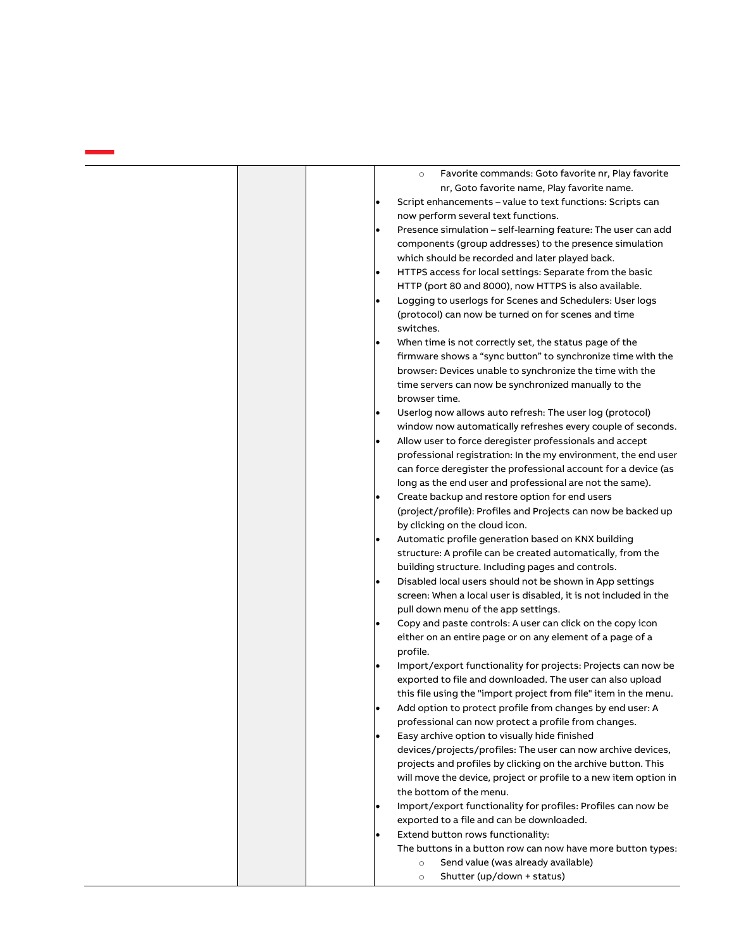| Favorite commands: Goto favorite nr, Play favorite<br>$\circ$              |
|----------------------------------------------------------------------------|
| nr, Goto favorite name, Play favorite name.                                |
| Script enhancements - value to text functions: Scripts can<br>$\bullet$    |
| now perform several text functions.                                        |
| Presence simulation - self-learning feature: The user can add<br>$\bullet$ |
| components (group addresses) to the presence simulation                    |
| which should be recorded and later played back.                            |
| HTTPS access for local settings: Separate from the basic<br>$\bullet$      |
| HTTP (port 80 and 8000), now HTTPS is also available.                      |
| Logging to userlogs for Scenes and Schedulers: User logs<br>$\bullet$      |
| (protocol) can now be turned on for scenes and time<br>switches.           |
| When time is not correctly set, the status page of the                     |
| firmware shows a "sync button" to synchronize time with the                |
| browser: Devices unable to synchronize the time with the                   |
|                                                                            |
| time servers can now be synchronized manually to the<br>browser time.      |
|                                                                            |
| Userlog now allows auto refresh: The user log (protocol)<br>$\bullet$      |
| window now automatically refreshes every couple of seconds.                |
| Allow user to force deregister professionals and accept<br>$\bullet$       |
| professional registration: In the my environment, the end user             |
| can force deregister the professional account for a device (as             |
| long as the end user and professional are not the same).                   |
| Create backup and restore option for end users<br>$\bullet$                |
| (project/profile): Profiles and Projects can now be backed up              |
| by clicking on the cloud icon.                                             |
| Automatic profile generation based on KNX building<br>$\bullet$            |
| structure: A profile can be created automatically, from the                |
| building structure. Including pages and controls.                          |
| Disabled local users should not be shown in App settings<br>$\bullet$      |
| screen: When a local user is disabled, it is not included in the           |
| pull down menu of the app settings.                                        |
| Copy and paste controls: A user can click on the copy icon                 |
| either on an entire page or on any element of a page of a<br>profile.      |
| Import/export functionality for projects: Projects can now be              |
| exported to file and downloaded. The user can also upload                  |
| this file using the "import project from file" item in the menu.           |
| Add option to protect profile from changes by end user: A<br>$\bullet$     |
|                                                                            |
| professional can now protect a profile from changes.                       |
| Easy archive option to visually hide finished<br>$\bullet$                 |
| devices/projects/profiles: The user can now archive devices,               |
| projects and profiles by clicking on the archive button. This              |
| will move the device, project or profile to a new item option in           |
| the bottom of the menu.                                                    |
| Import/export functionality for profiles: Profiles can now be              |
| exported to a file and can be downloaded.                                  |
| Extend button rows functionality:<br>$\bullet$                             |
| The buttons in a button row can now have more button types:                |
| Send value (was already available)<br>$\circ$                              |
| Shutter (up/down + status)<br>$\circ$                                      |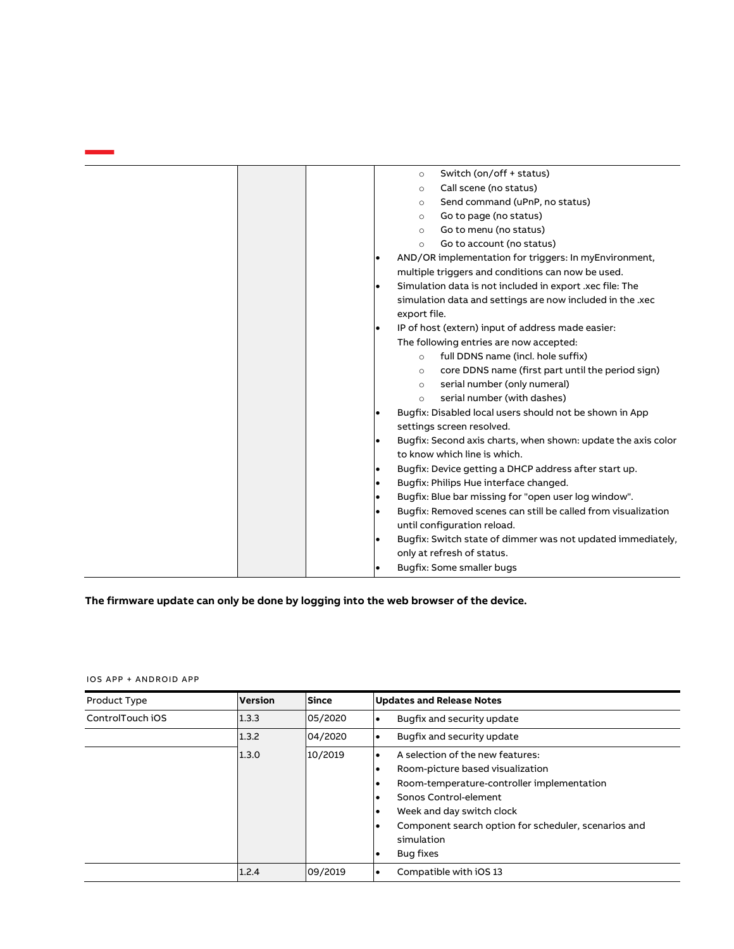| Switch (on/off + status)<br>$\circ$                                   |
|-----------------------------------------------------------------------|
| Call scene (no status)<br>$\circ$                                     |
| Send command (uPnP, no status)<br>$\circ$                             |
| Go to page (no status)<br>$\circ$                                     |
| Go to menu (no status)<br>$\circ$                                     |
| Go to account (no status)<br>$\circ$                                  |
| AND/OR implementation for triggers: In myEnvironment,                 |
| multiple triggers and conditions can now be used.                     |
| Simulation data is not included in export .xec file: The<br>$\bullet$ |
| simulation data and settings are now included in the .xec             |
| export file.                                                          |
| IP of host (extern) input of address made easier:                     |
| The following entries are now accepted:                               |
| full DDNS name (incl. hole suffix)<br>$\circ$                         |
| core DDNS name (first part until the period sign)<br>$\circ$          |
| serial number (only numeral)<br>$\circ$                               |
| serial number (with dashes)<br>$\circ$                                |
| Bugfix: Disabled local users should not be shown in App               |
| settings screen resolved.                                             |
| Bugfix: Second axis charts, when shown: update the axis color         |
| to know which line is which.                                          |
| Bugfix: Device getting a DHCP address after start up.                 |
| Bugfix: Philips Hue interface changed.                                |
| Bugfix: Blue bar missing for "open user log window".<br>٠             |
| Bugfix: Removed scenes can still be called from visualization         |
| until configuration reload.                                           |
| Bugfix: Switch state of dimmer was not updated immediately,           |
| only at refresh of status.                                            |
| Bugfix: Some smaller bugs                                             |
|                                                                       |

**The firmware update can only be done by logging into the web browser of the device.**

| Product Type     | <b>Version</b> | Since   | <b>Updates and Release Notes</b>                                                                                                                                                                                                               |
|------------------|----------------|---------|------------------------------------------------------------------------------------------------------------------------------------------------------------------------------------------------------------------------------------------------|
| ControlTouch iOS | 1.3.3          | 05/2020 | Bugfix and security update                                                                                                                                                                                                                     |
|                  | 1.3.2          | 04/2020 | Bugfix and security update                                                                                                                                                                                                                     |
|                  | 1.3.0          | 10/2019 | A selection of the new features:<br>Room-picture based visualization<br>Room-temperature-controller implementation<br>Sonos Control-element<br>Week and day switch clock<br>Component search option for scheduler, scenarios and<br>simulation |
|                  | 1.2.4          | 09/2019 | Bug fixes<br>Compatible with iOS 13                                                                                                                                                                                                            |

IOS APP + ANDROID APP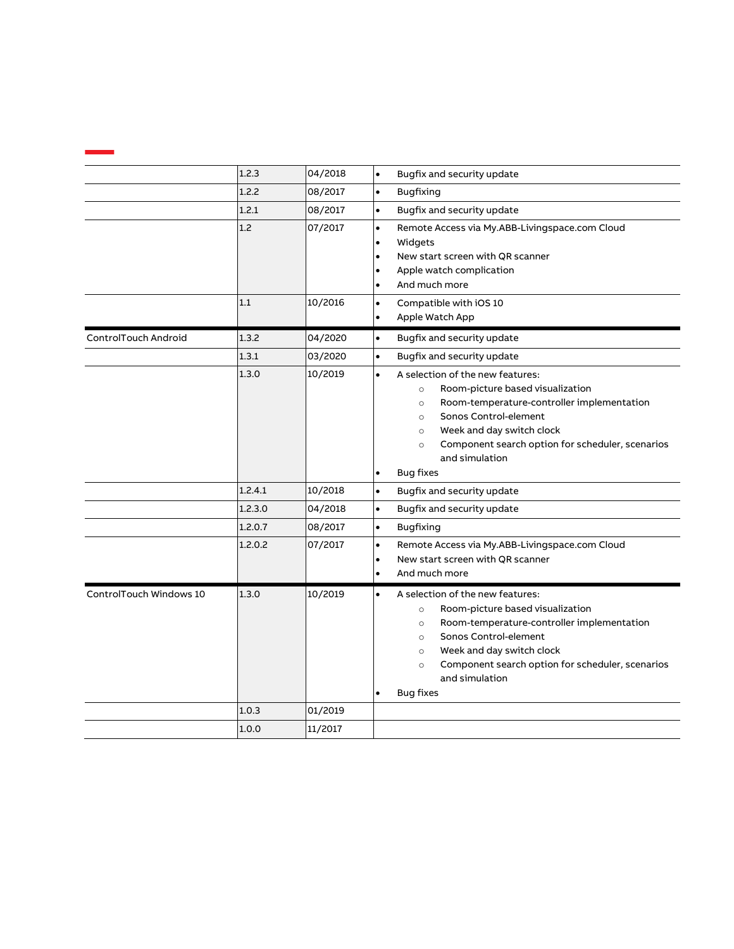|                         | 1.2.3   | 04/2018 | Bugfix and security update<br>$\bullet$                                                                                                                                                                                                                                                                                   |
|-------------------------|---------|---------|---------------------------------------------------------------------------------------------------------------------------------------------------------------------------------------------------------------------------------------------------------------------------------------------------------------------------|
|                         | 1.2.2   | 08/2017 | <b>Bugfixing</b><br>$\bullet$                                                                                                                                                                                                                                                                                             |
|                         | 1.2.1   | 08/2017 | Bugfix and security update<br>$\bullet$                                                                                                                                                                                                                                                                                   |
|                         | 1.2     | 07/2017 | Remote Access via My.ABB-Livingspace.com Cloud<br>$\bullet$<br>Widgets<br>New start screen with QR scanner<br>Apple watch complication<br>And much more                                                                                                                                                                   |
|                         | 1.1     | 10/2016 | Compatible with iOS 10<br>Apple Watch App                                                                                                                                                                                                                                                                                 |
| ControlTouch Android    | 1.3.2   | 04/2020 | Bugfix and security update<br>$\bullet$                                                                                                                                                                                                                                                                                   |
|                         | 1.3.1   | 03/2020 | Bugfix and security update<br>$\bullet$                                                                                                                                                                                                                                                                                   |
|                         | 1.3.0   | 10/2019 | A selection of the new features:<br>Room-picture based visualization<br>$\circ$<br>Room-temperature-controller implementation<br>$\circ$<br>Sonos Control-element<br>$\circ$<br>Week and day switch clock<br>$\circ$<br>Component search option for scheduler, scenarios<br>$\circ$<br>and simulation<br><b>Bug fixes</b> |
|                         | 1.2.4.1 | 10/2018 | $\bullet$<br>Bugfix and security update                                                                                                                                                                                                                                                                                   |
|                         | 1.2.3.0 | 04/2018 | Bugfix and security update<br>$\bullet$                                                                                                                                                                                                                                                                                   |
|                         | 1.2.0.7 | 08/2017 | <b>Bugfixing</b><br>$\bullet$                                                                                                                                                                                                                                                                                             |
|                         | 1.2.0.2 | 07/2017 | Remote Access via My.ABB-Livingspace.com Cloud<br>$\bullet$<br>New start screen with QR scanner<br>And much more                                                                                                                                                                                                          |
| ControlTouch Windows 10 | 1.3.0   | 10/2019 | A selection of the new features:<br>Room-picture based visualization<br>$\circ$<br>Room-temperature-controller implementation<br>$\circ$<br>Sonos Control-element<br>$\circ$<br>Week and day switch clock<br>$\circ$<br>Component search option for scheduler, scenarios<br>$\circ$<br>and simulation<br><b>Bug fixes</b> |
|                         | 1.0.3   | 01/2019 |                                                                                                                                                                                                                                                                                                                           |
|                         | 1.0.0   | 11/2017 |                                                                                                                                                                                                                                                                                                                           |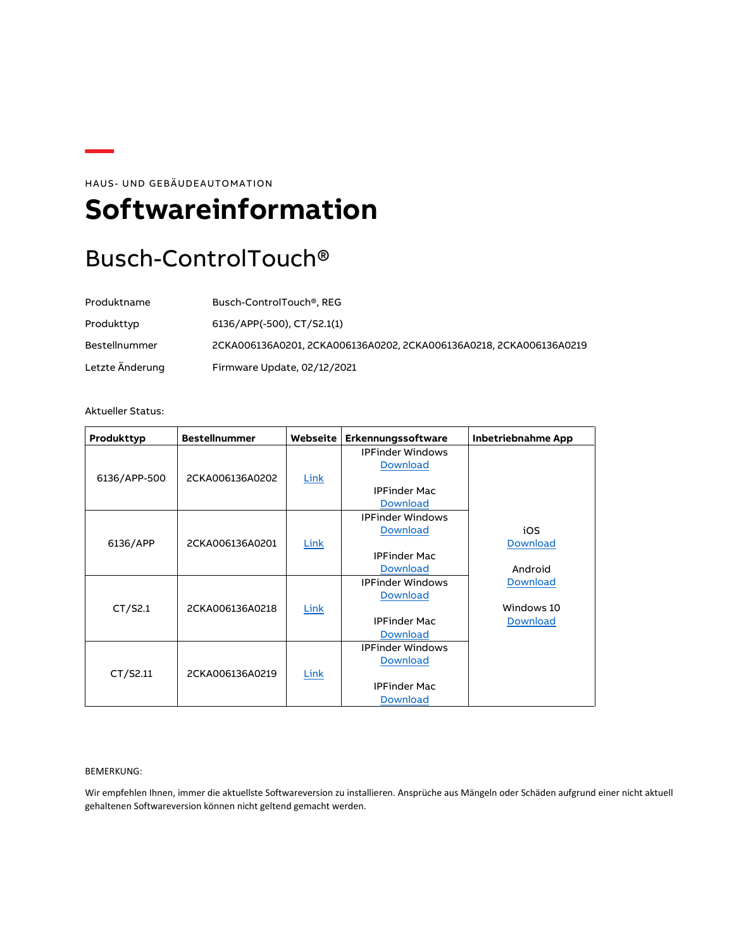HAUS- UND GEBÄUDEAUTOMATION

## <span id="page-13-0"></span>**Softwareinformation**

### Busch-ControlTouch®

| Produktname          | Busch-ControlTouch <sup>®</sup> , REG                              |
|----------------------|--------------------------------------------------------------------|
| Produkttyp           | 6136/APP(-500), CT/S2.1(1)                                         |
| <b>Bestellnummer</b> | 2CKA006136A0201, 2CKA006136A0202, 2CKA006136A0218, 2CKA006136A0219 |
| Letzte Änderung      | Firmware Update, 02/12/2021                                        |

#### Aktueller Status:

| Produkttyp   | <b>Bestellnummer</b> | Webseite    | Erkennungssoftware      | Inbetriebnahme App |
|--------------|----------------------|-------------|-------------------------|--------------------|
|              |                      |             | <b>IPFinder Windows</b> |                    |
|              |                      |             | <b>Download</b>         |                    |
| 6136/APP-500 | 2CKA006136A0202      | Link        |                         |                    |
|              |                      |             | <b>IPFinder Mac</b>     |                    |
|              |                      |             | <b>Download</b>         |                    |
|              |                      |             | <b>IPFinder Windows</b> |                    |
|              |                      |             | <b>Download</b>         | iOS                |
| 6136/APP     | 2CKA006136A0201      | Link        |                         | <b>Download</b>    |
|              |                      |             | <b>IPFinder Mac</b>     |                    |
|              |                      |             | <b>Download</b>         | Android            |
|              |                      |             | <b>IPFinder Windows</b> | Download           |
|              |                      |             | <b>Download</b>         |                    |
| CT/52.1      | 2CKA006136A0218      | <b>Link</b> |                         | Windows 10         |
|              |                      |             | <b>IPFinder Mac</b>     | <b>Download</b>    |
|              |                      |             | <b>Download</b>         |                    |
|              |                      |             | <b>IPFinder Windows</b> |                    |
|              |                      |             | <b>Download</b>         |                    |
| CT/52.11     | 2CKA006136A0219      | Link        |                         |                    |
|              |                      |             | <b>IPFinder Mac</b>     |                    |
|              |                      |             | <b>Download</b>         |                    |

#### BEMERKUNG:

Wir empfehlen Ihnen, immer die aktuellste Softwareversion zu installieren. Ansprüche aus Mängeln oder Schäden aufgrund einer nicht aktuell gehaltenen Softwareversion können nicht geltend gemacht werden.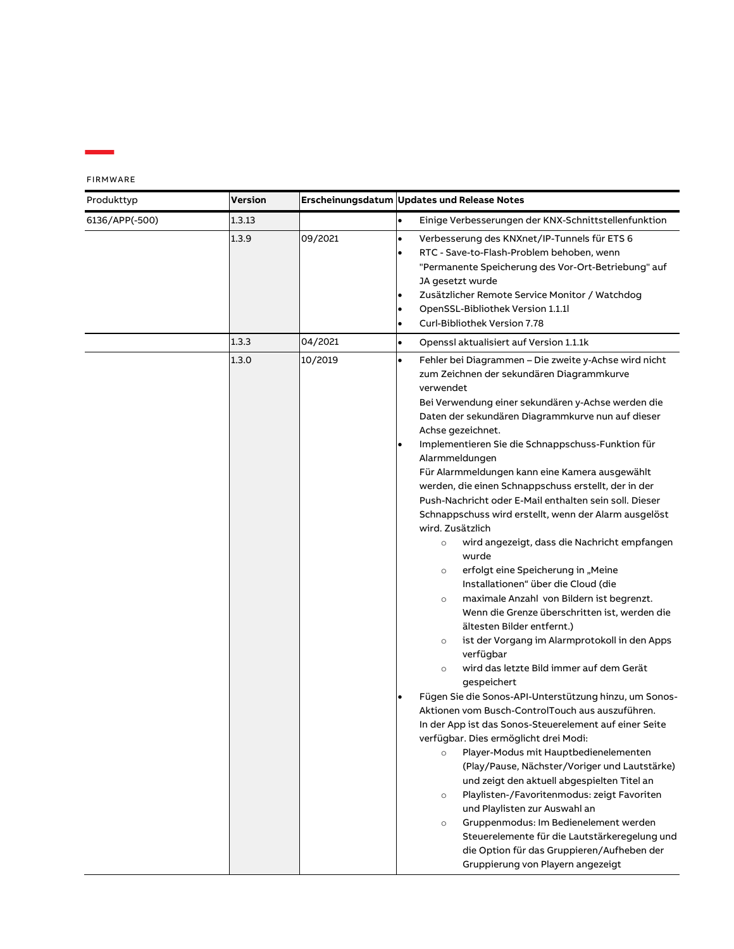| <b>FIRMWARE</b> |  |  |
|-----------------|--|--|
|-----------------|--|--|

| Produkttyp     | <b>Version</b> |         | Erscheinungsdatum Updates und Release Notes                                                                                                                                                                                                                                                                                                                                                                                                                                                                                                                                                                                                                                                                                                                                                                                                                                                                                                                                                                                                                                                                                                                                                                                                                                                                                                                                                                                                                                                                                                                                                                                                                                                                              |
|----------------|----------------|---------|--------------------------------------------------------------------------------------------------------------------------------------------------------------------------------------------------------------------------------------------------------------------------------------------------------------------------------------------------------------------------------------------------------------------------------------------------------------------------------------------------------------------------------------------------------------------------------------------------------------------------------------------------------------------------------------------------------------------------------------------------------------------------------------------------------------------------------------------------------------------------------------------------------------------------------------------------------------------------------------------------------------------------------------------------------------------------------------------------------------------------------------------------------------------------------------------------------------------------------------------------------------------------------------------------------------------------------------------------------------------------------------------------------------------------------------------------------------------------------------------------------------------------------------------------------------------------------------------------------------------------------------------------------------------------------------------------------------------------|
| 6136/APP(-500) | 1.3.13         |         | $\bullet$<br>Einige Verbesserungen der KNX-Schnittstellenfunktion                                                                                                                                                                                                                                                                                                                                                                                                                                                                                                                                                                                                                                                                                                                                                                                                                                                                                                                                                                                                                                                                                                                                                                                                                                                                                                                                                                                                                                                                                                                                                                                                                                                        |
|                | 1.3.9          | 09/2021 | Verbesserung des KNXnet/IP-Tunnels für ETS 6<br>$\bullet$<br>RTC - Save-to-Flash-Problem behoben, wenn<br>$\bullet$<br>"Permanente Speicherung des Vor-Ort-Betriebung" auf<br>JA gesetzt wurde<br>Zusätzlicher Remote Service Monitor / Watchdog<br>$\bullet$<br>OpenSSL-Bibliothek Version 1.1.1<br>$\bullet$<br>Curl-Bibliothek Version 7.78<br>٠                                                                                                                                                                                                                                                                                                                                                                                                                                                                                                                                                                                                                                                                                                                                                                                                                                                                                                                                                                                                                                                                                                                                                                                                                                                                                                                                                                      |
|                | 1.3.3          | 04/2021 | $\bullet$<br>Openssl aktualisiert auf Version 1.1.1k                                                                                                                                                                                                                                                                                                                                                                                                                                                                                                                                                                                                                                                                                                                                                                                                                                                                                                                                                                                                                                                                                                                                                                                                                                                                                                                                                                                                                                                                                                                                                                                                                                                                     |
|                | 1.3.0          | 10/2019 | Fehler bei Diagrammen - Die zweite y-Achse wird nicht<br>$\bullet$<br>zum Zeichnen der sekundären Diagrammkurve<br>verwendet<br>Bei Verwendung einer sekundären y-Achse werden die<br>Daten der sekundären Diagrammkurve nun auf dieser<br>Achse gezeichnet.<br>Implementieren Sie die Schnappschuss-Funktion für<br>$\bullet$<br>Alarmmeldungen<br>Für Alarmmeldungen kann eine Kamera ausgewählt<br>werden, die einen Schnappschuss erstellt, der in der<br>Push-Nachricht oder E-Mail enthalten sein soll. Dieser<br>Schnappschuss wird erstellt, wenn der Alarm ausgelöst<br>wird. Zusätzlich<br>wird angezeigt, dass die Nachricht empfangen<br>$\circ$<br>wurde<br>erfolgt eine Speicherung in "Meine<br>$\circ$<br>Installationen" über die Cloud (die<br>maximale Anzahl von Bildern ist begrenzt.<br>$\circ$<br>Wenn die Grenze überschritten ist, werden die<br>ältesten Bilder entfernt.)<br>ist der Vorgang im Alarmprotokoll in den Apps<br>$\circ$<br>verfügbar<br>wird das letzte Bild immer auf dem Gerät<br>$\circ$<br>gespeichert<br>Fügen Sie die Sonos-API-Unterstützung hinzu, um Sonos-<br>$\bullet$<br>Aktionen vom Busch-ControlTouch aus auszuführen.<br>In der App ist das Sonos-Steuerelement auf einer Seite<br>verfügbar. Dies ermöglicht drei Modi:<br>Player-Modus mit Hauptbedienelementen<br>$\circ$<br>(Play/Pause, Nächster/Voriger und Lautstärke)<br>und zeigt den aktuell abgespielten Titel an<br>Playlisten-/Favoritenmodus: zeigt Favoriten<br>$\circ$<br>und Playlisten zur Auswahl an<br>Gruppenmodus: Im Bedienelement werden<br>$\circ$<br>Steuerelemente für die Lautstärkeregelung und<br>die Option für das Gruppieren/Aufheben der<br>Gruppierung von Playern angezeigt |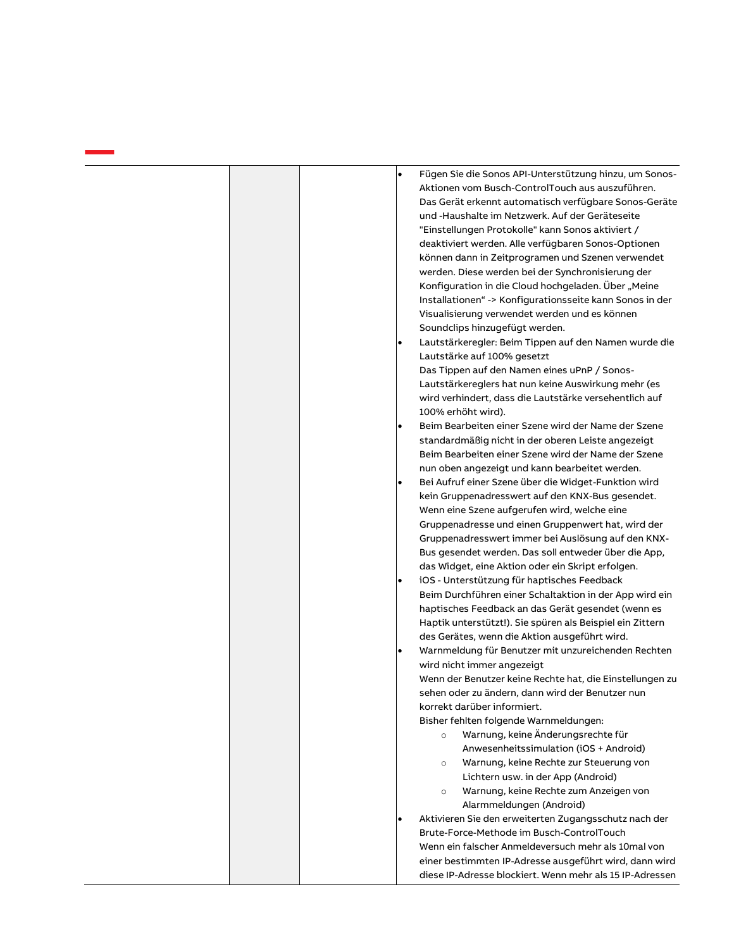| Fügen Sie die Sonos API-Unterstützung hinzu, um Sonos-<br>$\bullet$ |
|---------------------------------------------------------------------|
| Aktionen vom Busch-ControlTouch aus auszuführen.                    |
| Das Gerät erkennt automatisch verfügbare Sonos-Geräte               |
| und -Haushalte im Netzwerk. Auf der Geräteseite                     |
| "Einstellungen Protokolle" kann Sonos aktiviert /                   |
| deaktiviert werden. Alle verfügbaren Sonos-Optionen                 |
| können dann in Zeitprogramen und Szenen verwendet                   |
| werden. Diese werden bei der Synchronisierung der                   |
| Konfiguration in die Cloud hochgeladen. Über "Meine                 |
| Installationen" -> Konfigurationsseite kann Sonos in der            |
| Visualisierung verwendet werden und es können                       |
| Soundclips hinzugefügt werden.                                      |
| Lautstärkeregler: Beim Tippen auf den Namen wurde die               |
| Lautstärke auf 100% gesetzt                                         |
| Das Tippen auf den Namen eines uPnP / Sonos-                        |
| Lautstärkereglers hat nun keine Auswirkung mehr (es                 |
| wird verhindert, dass die Lautstärke versehentlich auf              |
| 100% erhöht wird).                                                  |
| Beim Bearbeiten einer Szene wird der Name der Szene                 |
| standardmäßig nicht in der oberen Leiste angezeigt                  |
| Beim Bearbeiten einer Szene wird der Name der Szene                 |
| nun oben angezeigt und kann bearbeitet werden.                      |
| Bei Aufruf einer Szene über die Widget-Funktion wird                |
|                                                                     |
| kein Gruppenadresswert auf den KNX-Bus gesendet.                    |
| Wenn eine Szene aufgerufen wird, welche eine                        |
| Gruppenadresse und einen Gruppenwert hat, wird der                  |
| Gruppenadresswert immer bei Auslösung auf den KNX-                  |
| Bus gesendet werden. Das soll entweder über die App,                |
| das Widget, eine Aktion oder ein Skript erfolgen.                   |
| iOS - Unterstützung für haptisches Feedback                         |
| Beim Durchführen einer Schaltaktion in der App wird ein             |
| haptisches Feedback an das Gerät gesendet (wenn es                  |
| Haptik unterstützt!). Sie spüren als Beispiel ein Zittern           |
| des Gerätes, wenn die Aktion ausgeführt wird.                       |
| Warnmeldung für Benutzer mit unzureichenden Rechten                 |
| wird nicht immer angezeigt                                          |
| Wenn der Benutzer keine Rechte hat, die Einstellungen zu            |
| sehen oder zu ändern, dann wird der Benutzer nun                    |
| korrekt darüber informiert.                                         |
| Bisher fehlten folgende Warnmeldungen:                              |
| Warnung, keine Änderungsrechte für<br>$\circ$                       |
| Anwesenheitssimulation (iOS + Android)                              |
| Warnung, keine Rechte zur Steuerung von<br>$\circ$                  |
| Lichtern usw. in der App (Android)                                  |
| Warnung, keine Rechte zum Anzeigen von<br>$\circ$                   |
| Alarmmeldungen (Android)                                            |
| Aktivieren Sie den erweiterten Zugangsschutz nach der               |
| Brute-Force-Methode im Busch-ControlTouch                           |
| Wenn ein falscher Anmeldeversuch mehr als 10mal von                 |
| einer bestimmten IP-Adresse ausgeführt wird, dann wird              |
|                                                                     |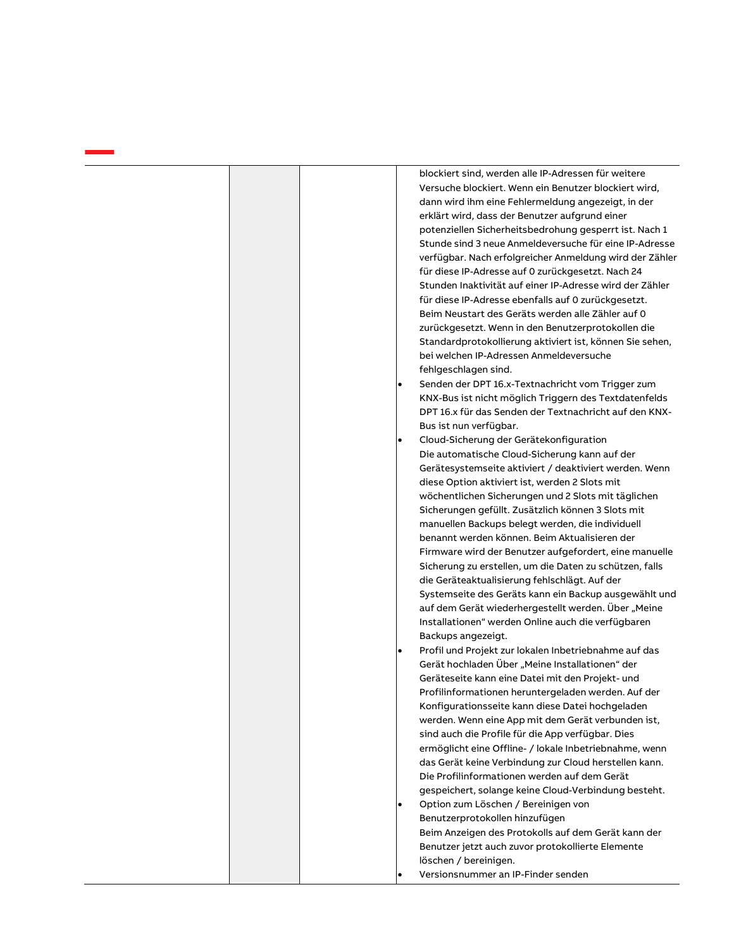|  | $\bullet$ | blockiert sind, werden alle IP-Adressen für weitere<br>Versuche blockiert. Wenn ein Benutzer blockiert wird,<br>dann wird ihm eine Fehlermeldung angezeigt, in der<br>erklärt wird, dass der Benutzer aufgrund einer<br>potenziellen Sicherheitsbedrohung gesperrt ist. Nach 1<br>Stunde sind 3 neue Anmeldeversuche für eine IP-Adresse<br>verfügbar. Nach erfolgreicher Anmeldung wird der Zähler<br>für diese IP-Adresse auf 0 zurückgesetzt. Nach 24<br>Stunden Inaktivität auf einer IP-Adresse wird der Zähler<br>für diese IP-Adresse ebenfalls auf 0 zurückgesetzt.<br>Beim Neustart des Geräts werden alle Zähler auf 0<br>zurückgesetzt. Wenn in den Benutzerprotokollen die<br>Standardprotokollierung aktiviert ist, können Sie sehen,<br>bei welchen IP-Adressen Anmeldeversuche<br>fehlgeschlagen sind.<br>Senden der DPT 16.x-Textnachricht vom Trigger zum<br>KNX-Bus ist nicht möglich Triggern des Textdatenfelds<br>DPT 16.x für das Senden der Textnachricht auf den KNX-<br>Bus ist nun verfügbar.<br>Cloud-Sicherung der Gerätekonfiguration<br>Die automatische Cloud-Sicherung kann auf der<br>Gerätesystemseite aktiviert / deaktiviert werden. Wenn<br>diese Option aktiviert ist, werden 2 Slots mit<br>wöchentlichen Sicherungen und 2 Slots mit täglichen<br>Sicherungen gefüllt. Zusätzlich können 3 Slots mit<br>manuellen Backups belegt werden, die individuell<br>benannt werden können. Beim Aktualisieren der<br>Firmware wird der Benutzer aufgefordert, eine manuelle<br>Sicherung zu erstellen, um die Daten zu schützen, falls<br>die Geräteaktualisierung fehlschlägt. Auf der<br>Systemseite des Geräts kann ein Backup ausgewählt und<br>auf dem Gerät wiederhergestellt werden. Über "Meine<br>Installationen" werden Online auch die verfügbaren<br>Backups angezeigt.<br>Profil und Projekt zur lokalen Inbetriebnahme auf das<br>Gerät hochladen Über "Meine Installationen" der<br>Geräteseite kann eine Datei mit den Projekt- und<br>Profilinformationen heruntergeladen werden. Auf der<br>Konfigurationsseite kann diese Datei hochgeladen |
|--|-----------|------------------------------------------------------------------------------------------------------------------------------------------------------------------------------------------------------------------------------------------------------------------------------------------------------------------------------------------------------------------------------------------------------------------------------------------------------------------------------------------------------------------------------------------------------------------------------------------------------------------------------------------------------------------------------------------------------------------------------------------------------------------------------------------------------------------------------------------------------------------------------------------------------------------------------------------------------------------------------------------------------------------------------------------------------------------------------------------------------------------------------------------------------------------------------------------------------------------------------------------------------------------------------------------------------------------------------------------------------------------------------------------------------------------------------------------------------------------------------------------------------------------------------------------------------------------------------------------------------------------------------------------------------------------------------------------------------------------------------------------------------------------------------------------------------------------------------------------------------------------------------------------------------------------------------------------------------------------------------------------------------------------------------------------------------------------------------------------------|
|  |           | werden. Wenn eine App mit dem Gerät verbunden ist,<br>sind auch die Profile für die App verfügbar. Dies<br>ermöglicht eine Offline- / lokale Inbetriebnahme, wenn                                                                                                                                                                                                                                                                                                                                                                                                                                                                                                                                                                                                                                                                                                                                                                                                                                                                                                                                                                                                                                                                                                                                                                                                                                                                                                                                                                                                                                                                                                                                                                                                                                                                                                                                                                                                                                                                                                                              |
|  |           | das Gerät keine Verbindung zur Cloud herstellen kann.<br>Die Profilinformationen werden auf dem Gerät<br>gespeichert, solange keine Cloud-Verbindung besteht.<br>Option zum Löschen / Bereinigen von                                                                                                                                                                                                                                                                                                                                                                                                                                                                                                                                                                                                                                                                                                                                                                                                                                                                                                                                                                                                                                                                                                                                                                                                                                                                                                                                                                                                                                                                                                                                                                                                                                                                                                                                                                                                                                                                                           |
|  |           | Benutzerprotokollen hinzufügen<br>Beim Anzeigen des Protokolls auf dem Gerät kann der<br>Benutzer jetzt auch zuvor protokollierte Elemente<br>löschen / bereinigen.                                                                                                                                                                                                                                                                                                                                                                                                                                                                                                                                                                                                                                                                                                                                                                                                                                                                                                                                                                                                                                                                                                                                                                                                                                                                                                                                                                                                                                                                                                                                                                                                                                                                                                                                                                                                                                                                                                                            |
|  |           | Versionsnummer an IP-Finder senden                                                                                                                                                                                                                                                                                                                                                                                                                                                                                                                                                                                                                                                                                                                                                                                                                                                                                                                                                                                                                                                                                                                                                                                                                                                                                                                                                                                                                                                                                                                                                                                                                                                                                                                                                                                                                                                                                                                                                                                                                                                             |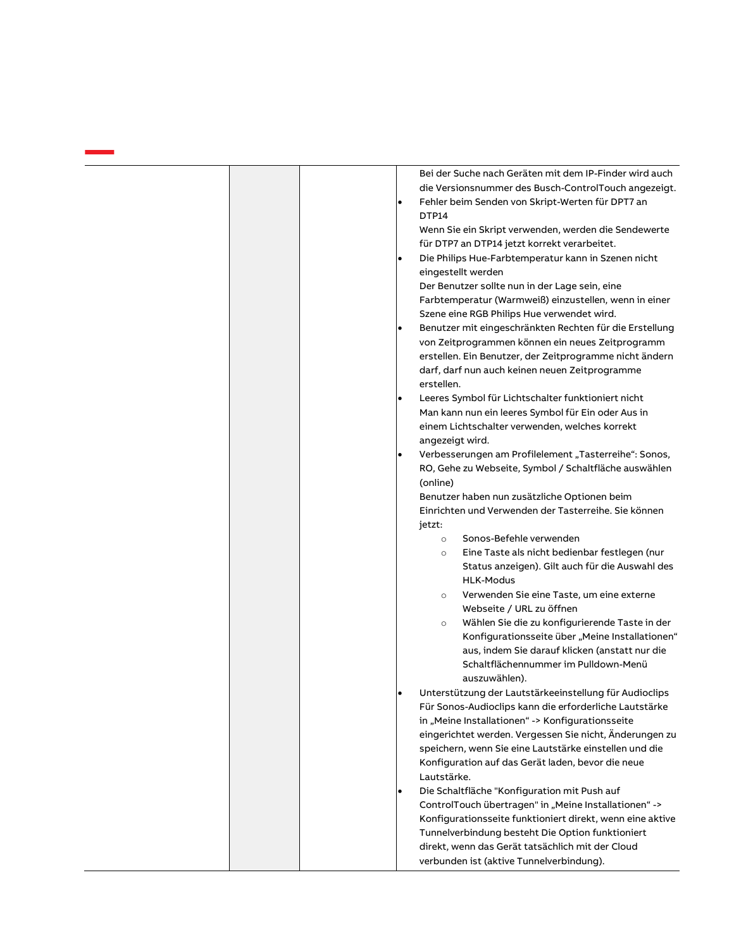|  |   | Bei der Suche nach Geräten mit dem IP-Finder wird auch                                              |
|--|---|-----------------------------------------------------------------------------------------------------|
|  |   | die Versionsnummer des Busch-ControlTouch angezeigt.                                                |
|  | ٠ | Fehler beim Senden von Skript-Werten für DPT7 an<br>DTP14                                           |
|  |   | Wenn Sie ein Skript verwenden, werden die Sendewerte                                                |
|  |   | für DTP7 an DTP14 jetzt korrekt verarbeitet.                                                        |
|  |   | Die Philips Hue-Farbtemperatur kann in Szenen nicht<br>eingestellt werden                           |
|  |   | Der Benutzer sollte nun in der Lage sein, eine                                                      |
|  |   | Farbtemperatur (Warmweiß) einzustellen, wenn in einer<br>Szene eine RGB Philips Hue verwendet wird. |
|  |   | Benutzer mit eingeschränkten Rechten für die Erstellung                                             |
|  |   | von Zeitprogrammen können ein neues Zeitprogramm                                                    |
|  |   | erstellen. Ein Benutzer, der Zeitprogramme nicht ändern                                             |
|  |   | darf, darf nun auch keinen neuen Zeitprogramme                                                      |
|  |   | erstellen.                                                                                          |
|  |   | Leeres Symbol für Lichtschalter funktioniert nicht                                                  |
|  |   | Man kann nun ein leeres Symbol für Ein oder Aus in                                                  |
|  |   | einem Lichtschalter verwenden, welches korrekt                                                      |
|  |   | angezeigt wird.                                                                                     |
|  |   | Verbesserungen am Profilelement "Tasterreihe": Sonos,                                               |
|  |   | RO, Gehe zu Webseite, Symbol / Schaltfläche auswählen                                               |
|  |   | (online)                                                                                            |
|  |   | Benutzer haben nun zusätzliche Optionen beim                                                        |
|  |   | Einrichten und Verwenden der Tasterreihe. Sie können                                                |
|  |   | jetzt:                                                                                              |
|  |   | Sonos-Befehle verwenden<br>$\circ$                                                                  |
|  |   | Eine Taste als nicht bedienbar festlegen (nur<br>$\circ$                                            |
|  |   | Status anzeigen). Gilt auch für die Auswahl des                                                     |
|  |   | <b>HLK-Modus</b>                                                                                    |
|  |   | Verwenden Sie eine Taste, um eine externe<br>$\circ$                                                |
|  |   | Webseite / URL zu öffnen                                                                            |
|  |   | Wählen Sie die zu konfigurierende Taste in der<br>$\circ$                                           |
|  |   | Konfigurationsseite über "Meine Installationen"                                                     |
|  |   | aus, indem Sie darauf klicken (anstatt nur die                                                      |
|  |   | Schaltflächennummer im Pulldown-Menü                                                                |
|  |   | auszuwählen).                                                                                       |
|  |   | Unterstützung der Lautstärkeeinstellung für Audioclips                                              |
|  |   | Für Sonos-Audioclips kann die erforderliche Lautstärke                                              |
|  |   | in "Meine Installationen" -> Konfigurationsseite                                                    |
|  |   | eingerichtet werden. Vergessen Sie nicht, Änderungen zu                                             |
|  |   | speichern, wenn Sie eine Lautstärke einstellen und die                                              |
|  |   | Konfiguration auf das Gerät laden, bevor die neue                                                   |
|  |   | Lautstärke.                                                                                         |
|  |   | Die Schaltfläche "Konfiguration mit Push auf                                                        |
|  |   | ControlTouch übertragen" in "Meine Installationen" ->                                               |
|  |   | Konfigurationsseite funktioniert direkt, wenn eine aktive                                           |
|  |   | Tunnelverbindung besteht Die Option funktioniert                                                    |
|  |   | direkt, wenn das Gerät tatsächlich mit der Cloud                                                    |
|  |   | verbunden ist (aktive Tunnelverbindung).                                                            |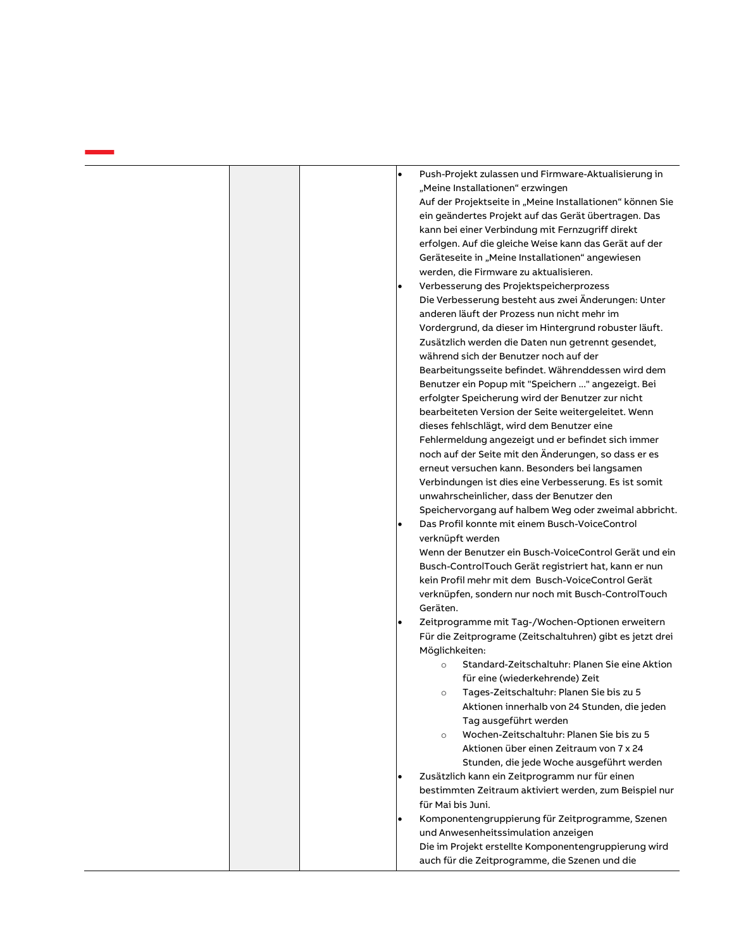|  | $\bullet$ | Push-Projekt zulassen und Firmware-Aktualisierung in      |
|--|-----------|-----------------------------------------------------------|
|  |           | "Meine Installationen" erzwingen                          |
|  |           | Auf der Projektseite in "Meine Installationen" können Sie |
|  |           | ein geändertes Projekt auf das Gerät übertragen. Das      |
|  |           | kann bei einer Verbindung mit Fernzugriff direkt          |
|  |           | erfolgen. Auf die gleiche Weise kann das Gerät auf der    |
|  |           | Geräteseite in "Meine Installationen" angewiesen          |
|  |           | werden, die Firmware zu aktualisieren.                    |
|  |           | Verbesserung des Projektspeicherprozess                   |
|  |           | Die Verbesserung besteht aus zwei Änderungen: Unter       |
|  |           | anderen läuft der Prozess nun nicht mehr im               |
|  |           | Vordergrund, da dieser im Hintergrund robuster läuft.     |
|  |           | Zusätzlich werden die Daten nun getrennt gesendet,        |
|  |           | während sich der Benutzer noch auf der                    |
|  |           | Bearbeitungsseite befindet. Währenddessen wird dem        |
|  |           | Benutzer ein Popup mit "Speichern " angezeigt. Bei        |
|  |           | erfolgter Speicherung wird der Benutzer zur nicht         |
|  |           | bearbeiteten Version der Seite weitergeleitet. Wenn       |
|  |           | dieses fehlschlägt, wird dem Benutzer eine                |
|  |           | Fehlermeldung angezeigt und er befindet sich immer        |
|  |           | noch auf der Seite mit den Änderungen, so dass er es      |
|  |           | erneut versuchen kann. Besonders bei langsamen            |
|  |           | Verbindungen ist dies eine Verbesserung. Es ist somit     |
|  |           | unwahrscheinlicher, dass der Benutzer den                 |
|  |           | Speichervorgang auf halbem Weg oder zweimal abbricht.     |
|  | ٠         | Das Profil konnte mit einem Busch-VoiceControl            |
|  |           | verknüpft werden                                          |
|  |           | Wenn der Benutzer ein Busch-VoiceControl Gerät und ein    |
|  |           | Busch-ControlTouch Gerät registriert hat, kann er nun     |
|  |           | kein Profil mehr mit dem Busch-VoiceControl Gerät         |
|  |           | verknüpfen, sondern nur noch mit Busch-ControlTouch       |
|  |           | Geräten.                                                  |
|  | $\bullet$ | Zeitprogramme mit Tag-/Wochen-Optionen erweitern          |
|  |           | Für die Zeitprograme (Zeitschaltuhren) gibt es jetzt drei |
|  |           | Möglichkeiten:                                            |
|  |           | Standard-Zeitschaltuhr: Planen Sie eine Aktion<br>$\circ$ |
|  |           | für eine (wiederkehrende) Zeit                            |
|  |           | Tages-Zeitschaltuhr: Planen Sie bis zu 5<br>$\circ$       |
|  |           | Aktionen innerhalb von 24 Stunden, die jeden              |
|  |           | Tag ausgeführt werden                                     |
|  |           | Wochen-Zeitschaltuhr: Planen Sie bis zu 5<br>$\circ$      |
|  |           | Aktionen über einen Zeitraum von 7 x 24                   |
|  |           | Stunden, die jede Woche ausgeführt werden                 |
|  | ٠         | Zusätzlich kann ein Zeitprogramm nur für einen            |
|  |           | bestimmten Zeitraum aktiviert werden, zum Beispiel nur    |
|  |           | für Mai bis Juni.                                         |
|  |           | Komponentengruppierung für Zeitprogramme, Szenen          |
|  |           | und Anwesenheitssimulation anzeigen                       |
|  |           | Die im Projekt erstellte Komponentengruppierung wird      |
|  |           | auch für die Zeitprogramme, die Szenen und die            |
|  |           |                                                           |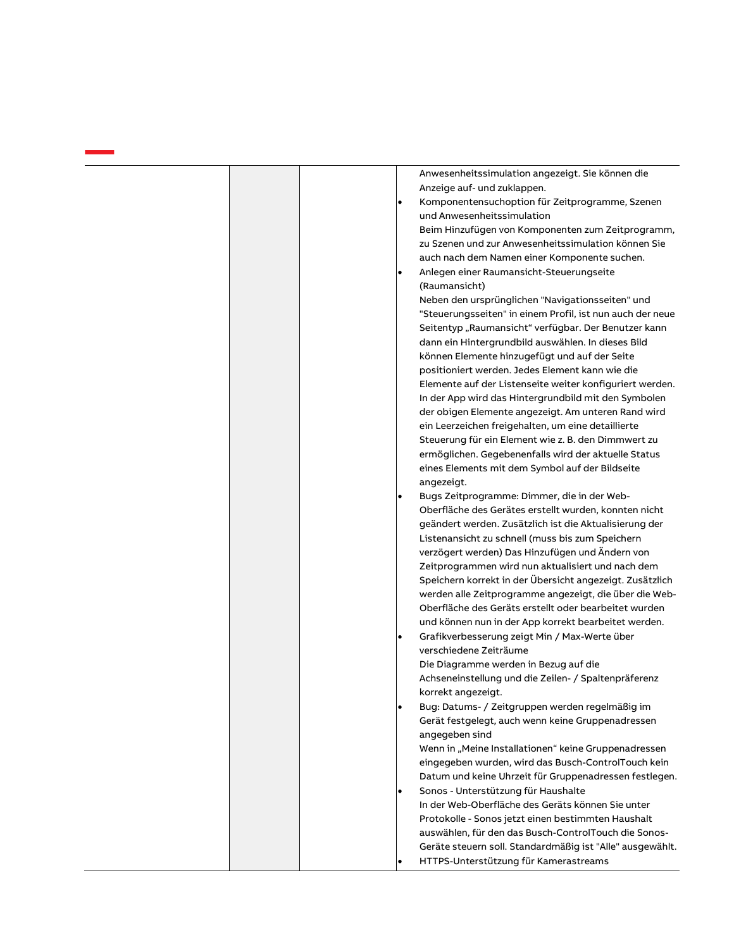|  |           | Anwesenheitssimulation angezeigt. Sie können die          |
|--|-----------|-----------------------------------------------------------|
|  |           | Anzeige auf- und zuklappen.                               |
|  | $\bullet$ | Komponentensuchoption für Zeitprogramme, Szenen           |
|  |           | und Anwesenheitssimulation                                |
|  |           | Beim Hinzufügen von Komponenten zum Zeitprogramm,         |
|  |           | zu Szenen und zur Anwesenheitssimulation können Sie       |
|  |           | auch nach dem Namen einer Komponente suchen.              |
|  | ٠         | Anlegen einer Raumansicht-Steuerungseite                  |
|  |           | (Raumansicht)                                             |
|  |           | Neben den ursprünglichen "Navigationsseiten" und          |
|  |           | "Steuerungsseiten" in einem Profil, ist nun auch der neue |
|  |           | Seitentyp "Raumansicht" verfügbar. Der Benutzer kann      |
|  |           | dann ein Hintergrundbild auswählen. In dieses Bild        |
|  |           | können Elemente hinzugefügt und auf der Seite             |
|  |           | positioniert werden. Jedes Element kann wie die           |
|  |           | Elemente auf der Listenseite weiter konfiguriert werden.  |
|  |           | In der App wird das Hintergrundbild mit den Symbolen      |
|  |           | der obigen Elemente angezeigt. Am unteren Rand wird       |
|  |           | ein Leerzeichen freigehalten, um eine detaillierte        |
|  |           | Steuerung für ein Element wie z. B. den Dimmwert zu       |
|  |           | ermöglichen. Gegebenenfalls wird der aktuelle Status      |
|  |           | eines Elements mit dem Symbol auf der Bildseite           |
|  |           | angezeigt.                                                |
|  | ٠         | Bugs Zeitprogramme: Dimmer, die in der Web-               |
|  |           | Oberfläche des Gerätes erstellt wurden, konnten nicht     |
|  |           | geändert werden. Zusätzlich ist die Aktualisierung der    |
|  |           | Listenansicht zu schnell (muss bis zum Speichern          |
|  |           | verzögert werden) Das Hinzufügen und Ändern von           |
|  |           | Zeitprogrammen wird nun aktualisiert und nach dem         |
|  |           | Speichern korrekt in der Übersicht angezeigt. Zusätzlich  |
|  |           | werden alle Zeitprogramme angezeigt, die über die Web-    |
|  |           | Oberfläche des Geräts erstellt oder bearbeitet wurden     |
|  |           | und können nun in der App korrekt bearbeitet werden.      |
|  | ٠         | Grafikverbesserung zeigt Min / Max-Werte über             |
|  |           | verschiedene Zeiträume                                    |
|  |           | Die Diagramme werden in Bezug auf die                     |
|  |           | Achseneinstellung und die Zeilen- / Spaltenpräferenz      |
|  |           | korrekt angezeigt.                                        |
|  |           | Bug: Datums- / Zeitgruppen werden regelmäßig im           |
|  |           | Gerät festgelegt, auch wenn keine Gruppenadressen         |
|  |           | angegeben sind                                            |
|  |           | Wenn in "Meine Installationen" keine Gruppenadressen      |
|  |           | eingegeben wurden, wird das Busch-ControlTouch kein       |
|  |           | Datum und keine Uhrzeit für Gruppenadressen festlegen.    |
|  | ٠         | Sonos - Unterstützung für Haushalte                       |
|  |           | In der Web-Oberfläche des Geräts können Sie unter         |
|  |           | Protokolle - Sonos jetzt einen bestimmten Haushalt        |
|  |           | auswählen, für den das Busch-ControlTouch die Sonos-      |
|  |           | Geräte steuern soll. Standardmäßig ist "Alle" ausgewählt. |
|  |           | HTTPS-Unterstützung für Kamerastreams                     |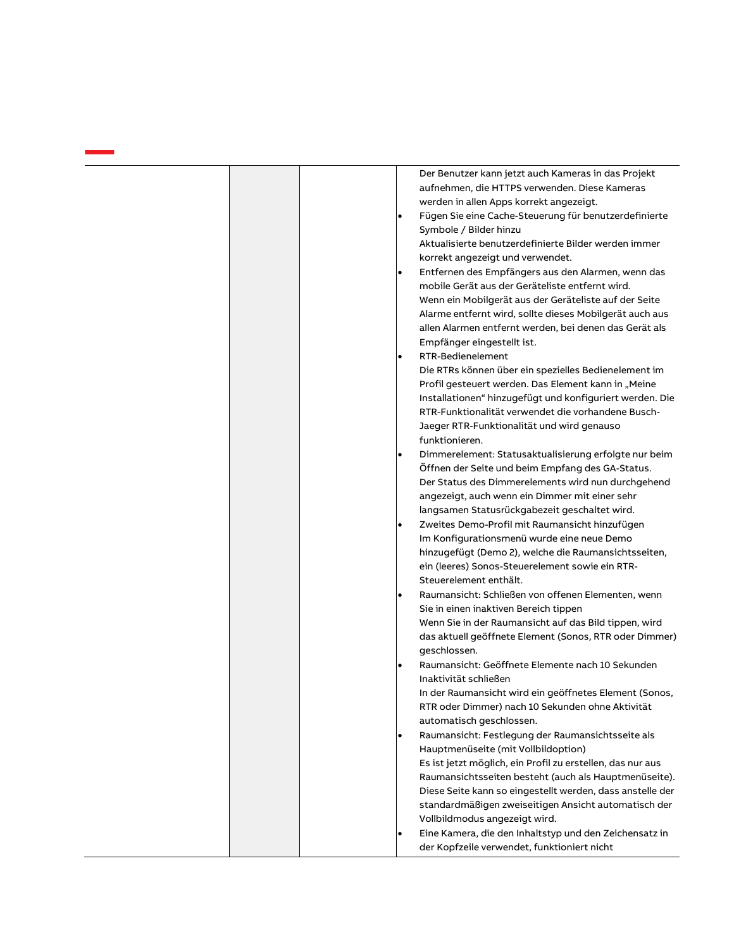| Der Benutzer kann jetzt auch Kameras in das Projekt<br>aufnehmen, die HTTPS verwenden. Diese Kameras<br>werden in allen Apps korrekt angezeigt.<br>Fügen Sie eine Cache-Steuerung für benutzerdefinierte<br>$\bullet$<br>Symbole / Bilder hinzu<br>Aktualisierte benutzerdefinierte Bilder werden immer<br>korrekt angezeigt und verwendet.<br>Entfernen des Empfängers aus den Alarmen, wenn das<br>$\bullet$<br>mobile Gerät aus der Geräteliste entfernt wird.<br>Wenn ein Mobilgerät aus der Geräteliste auf der Seite<br>Alarme entfernt wird, sollte dieses Mobilgerät auch aus<br>allen Alarmen entfernt werden, bei denen das Gerät als<br>Empfänger eingestellt ist.<br>RTR-Bedienelement<br>$\bullet$<br>Die RTRs können über ein spezielles Bedienelement im<br>Profil gesteuert werden. Das Element kann in "Meine<br>Installationen" hinzugefügt und konfiguriert werden. Die<br>RTR-Funktionalität verwendet die vorhandene Busch-<br>Jaeger RTR-Funktionalität und wird genauso<br>funktionieren. |
|------------------------------------------------------------------------------------------------------------------------------------------------------------------------------------------------------------------------------------------------------------------------------------------------------------------------------------------------------------------------------------------------------------------------------------------------------------------------------------------------------------------------------------------------------------------------------------------------------------------------------------------------------------------------------------------------------------------------------------------------------------------------------------------------------------------------------------------------------------------------------------------------------------------------------------------------------------------------------------------------------------------|
| Dimmerelement: Statusaktualisierung erfolgte nur beim<br>Öffnen der Seite und beim Empfang des GA-Status.<br>Der Status des Dimmerelements wird nun durchgehend<br>angezeigt, auch wenn ein Dimmer mit einer sehr<br>langsamen Statusrückgabezeit geschaltet wird.                                                                                                                                                                                                                                                                                                                                                                                                                                                                                                                                                                                                                                                                                                                                               |
| Zweites Demo-Profil mit Raumansicht hinzufügen<br>$\bullet$<br>Im Konfigurationsmenü wurde eine neue Demo<br>hinzugefügt (Demo 2), welche die Raumansichtsseiten,<br>ein (leeres) Sonos-Steuerelement sowie ein RTR-<br>Steuerelement enthält.                                                                                                                                                                                                                                                                                                                                                                                                                                                                                                                                                                                                                                                                                                                                                                   |
| Raumansicht: Schließen von offenen Elementen, wenn<br>$\bullet$<br>Sie in einen inaktiven Bereich tippen<br>Wenn Sie in der Raumansicht auf das Bild tippen, wird<br>das aktuell geöffnete Element (Sonos, RTR oder Dimmer)<br>geschlossen.                                                                                                                                                                                                                                                                                                                                                                                                                                                                                                                                                                                                                                                                                                                                                                      |
| Raumansicht: Geöffnete Elemente nach 10 Sekunden<br>Inaktivität schließen<br>In der Raumansicht wird ein geöffnetes Element (Sonos,<br>RTR oder Dimmer) nach 10 Sekunden ohne Aktivität                                                                                                                                                                                                                                                                                                                                                                                                                                                                                                                                                                                                                                                                                                                                                                                                                          |
| automatisch geschlossen.<br>Raumansicht: Festlegung der Raumansichtsseite als<br>Hauptmenüseite (mit Vollbildoption)<br>Es ist jetzt möglich, ein Profil zu erstellen, das nur aus<br>Raumansichtsseiten besteht (auch als Hauptmenüseite).<br>Diese Seite kann so eingestellt werden, dass anstelle der<br>standardmäßigen zweiseitigen Ansicht automatisch der<br>Vollbildmodus angezeigt wird.                                                                                                                                                                                                                                                                                                                                                                                                                                                                                                                                                                                                                |
| Eine Kamera, die den Inhaltstyp und den Zeichensatz in<br>der Kopfzeile verwendet, funktioniert nicht                                                                                                                                                                                                                                                                                                                                                                                                                                                                                                                                                                                                                                                                                                                                                                                                                                                                                                            |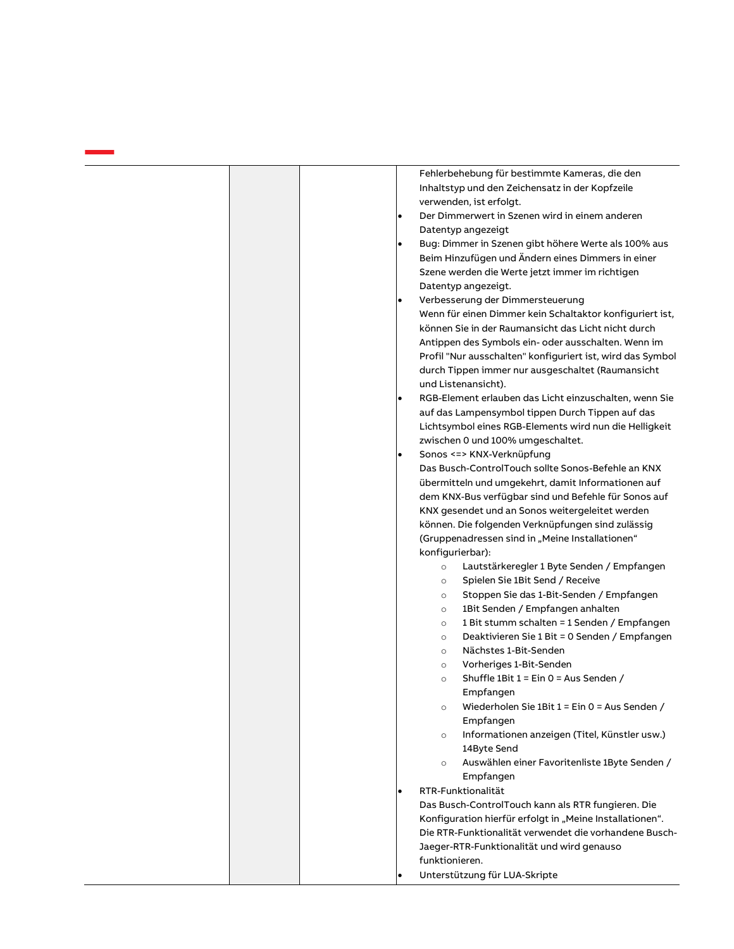|           | Fehlerbehebung für bestimmte Kameras, die den              |
|-----------|------------------------------------------------------------|
|           | Inhaltstyp und den Zeichensatz in der Kopfzeile            |
|           | verwenden, ist erfolgt.                                    |
| $\bullet$ | Der Dimmerwert in Szenen wird in einem anderen             |
|           | Datentyp angezeigt                                         |
| ٠         | Bug: Dimmer in Szenen gibt höhere Werte als 100% aus       |
|           | Beim Hinzufügen und Ändern eines Dimmers in einer          |
|           |                                                            |
|           | Szene werden die Werte jetzt immer im richtigen            |
|           | Datentyp angezeigt.                                        |
|           | Verbesserung der Dimmersteuerung                           |
|           | Wenn für einen Dimmer kein Schaltaktor konfiguriert ist,   |
|           | können Sie in der Raumansicht das Licht nicht durch        |
|           | Antippen des Symbols ein- oder ausschalten. Wenn im        |
|           | Profil "Nur ausschalten" konfiguriert ist, wird das Symbol |
|           | durch Tippen immer nur ausgeschaltet (Raumansicht          |
|           | und Listenansicht).                                        |
|           | RGB-Element erlauben das Licht einzuschalten, wenn Sie     |
|           | auf das Lampensymbol tippen Durch Tippen auf das           |
|           | Lichtsymbol eines RGB-Elements wird nun die Helligkeit     |
|           | zwischen 0 und 100% umgeschaltet.                          |
| $\bullet$ | Sonos <=> KNX-Verknüpfung                                  |
|           | Das Busch-ControlTouch sollte Sonos-Befehle an KNX         |
|           | übermitteln und umgekehrt, damit Informationen auf         |
|           |                                                            |
|           | dem KNX-Bus verfügbar sind und Befehle für Sonos auf       |
|           | KNX gesendet und an Sonos weitergeleitet werden            |
|           | können. Die folgenden Verknüpfungen sind zulässig          |
|           | (Gruppenadressen sind in "Meine Installationen"            |
|           | konfigurierbar):                                           |
|           | Lautstärkeregler 1 Byte Senden / Empfangen<br>$\circ$      |
|           | Spielen Sie 1Bit Send / Receive<br>$\circ$                 |
|           | Stoppen Sie das 1-Bit-Senden / Empfangen<br>$\circ$        |
|           | 1Bit Senden / Empfangen anhalten<br>$\circ$                |
|           | 1 Bit stumm schalten = 1 Senden / Empfangen<br>$\circ$     |
|           | Deaktivieren Sie 1 Bit = 0 Senden / Empfangen<br>$\circ$   |
|           | Nächstes 1-Bit-Senden<br>$\circ$                           |
|           | Vorheriges 1-Bit-Senden<br>$\circ$                         |
|           | Shuffle 1Bit 1 = Ein 0 = Aus Senden /<br>$\circ$           |
|           | Empfangen                                                  |
|           | Wiederholen Sie 1Bit 1 = Ein 0 = Aus Senden /<br>$\circ$   |
|           | Empfangen                                                  |
|           |                                                            |
|           | Informationen anzeigen (Titel, Künstler usw.)<br>$\circ$   |
|           | 14Byte Send                                                |
|           | Auswählen einer Favoritenliste 1Byte Senden /<br>$\circ$   |
|           | Empfangen                                                  |
| $\bullet$ | RTR-Funktionalität                                         |
|           | Das Busch-ControlTouch kann als RTR fungieren. Die         |
|           | Konfiguration hierfür erfolgt in "Meine Installationen".   |
|           | Die RTR-Funktionalität verwendet die vorhandene Busch-     |
|           | Jaeger-RTR-Funktionalität und wird genauso                 |
|           | funktionieren.                                             |
| ٠         | Unterstützung für LUA-Skripte                              |
|           |                                                            |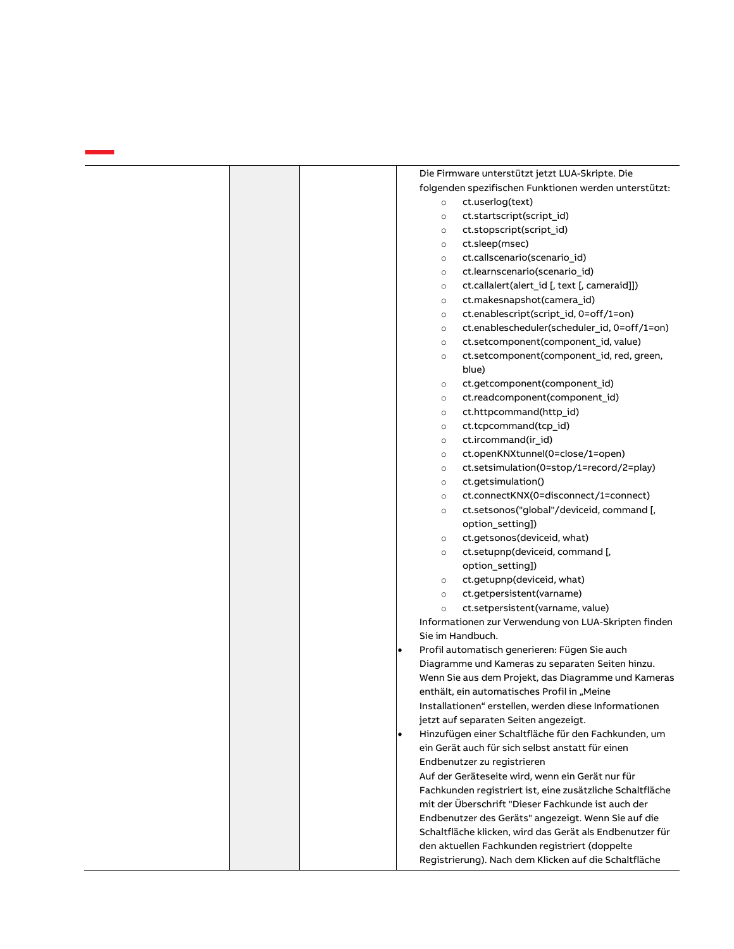|           | Die Firmware unterstützt jetzt LUA-Skripte. Die           |
|-----------|-----------------------------------------------------------|
|           | folgenden spezifischen Funktionen werden unterstützt:     |
| $\circ$   | ct.userlog(text)                                          |
| $\circ$   | ct.startscript(script_id)                                 |
| $\circ$   | ct.stopscript(script_id)                                  |
| $\circ$   | ct.sleep(msec)                                            |
| $\circ$   | ct.callscenario(scenario_id)                              |
| $\circ$   | ct.learnscenario(scenario_id)                             |
| $\circ$   | ct.callalert(alert_id [, text [, cameraid]])              |
| $\circ$   | ct.makesnapshot(camera_id)                                |
| $\circ$   | ct.enablescript(script_id, 0=off/1=on)                    |
| $\circ$   | ct.enablescheduler(scheduler_id, 0=off/1=on)              |
| $\circ$   | ct.setcomponent(component_id, value)                      |
| $\circ$   | ct.setcomponent(component_id, red, green,                 |
|           | blue)                                                     |
| $\circ$   | ct.getcomponent(component_id)                             |
| $\circ$   | ct.readcomponent(component_id)                            |
| $\circ$   | ct.httpcommand(http_id)                                   |
| $\circ$   | ct.tcpcommand(tcp_id)                                     |
| $\circ$   | ct.ircommand(ir_id)                                       |
| $\circ$   | ct.openKNXtunnel(0=close/1=open)                          |
| $\circ$   | ct.setsimulation(0=stop/1=record/2=play)                  |
| $\circ$   | ct.getsimulation()                                        |
| $\circ$   | ct.connectKNX(0=disconnect/1=connect)                     |
| $\circ$   | ct.setsonos("global"/deviceid, command [,                 |
|           | option_setting])                                          |
| $\circ$   | ct.getsonos(deviceid, what)                               |
| $\circ$   | ct.setupnp(deviceid, command [,                           |
|           | option_setting])                                          |
| $\circ$   | ct.getupnp(deviceid, what)                                |
| $\circ$   | ct.getpersistent(varname)                                 |
| $\circ$   | ct.setpersistent(varname, value)                          |
|           | Informationen zur Verwendung von LUA-Skripten finden      |
|           | Sie im Handbuch.                                          |
| ٠         | Profil automatisch generieren: Fügen Sie auch             |
|           | Diagramme und Kameras zu separaten Seiten hinzu.          |
|           | Wenn Sie aus dem Projekt, das Diagramme und Kameras       |
|           | enthält, ein automatisches Profil in "Meine               |
|           | Installationen" erstellen, werden diese Informationen     |
|           | jetzt auf separaten Seiten angezeigt.                     |
| $\bullet$ | Hinzufügen einer Schaltfläche für den Fachkunden, um      |
|           | ein Gerät auch für sich selbst anstatt für einen          |
|           | Endbenutzer zu registrieren                               |
|           | Auf der Geräteseite wird, wenn ein Gerät nur für          |
|           | Fachkunden registriert ist, eine zusätzliche Schaltfläche |
|           | mit der Überschrift "Dieser Fachkunde ist auch der        |
|           | Endbenutzer des Geräts" angezeigt. Wenn Sie auf die       |
|           | Schaltfläche klicken, wird das Gerät als Endbenutzer für  |
|           | den aktuellen Fachkunden registriert (doppelte            |
|           | Registrierung). Nach dem Klicken auf die Schaltfläche     |
|           |                                                           |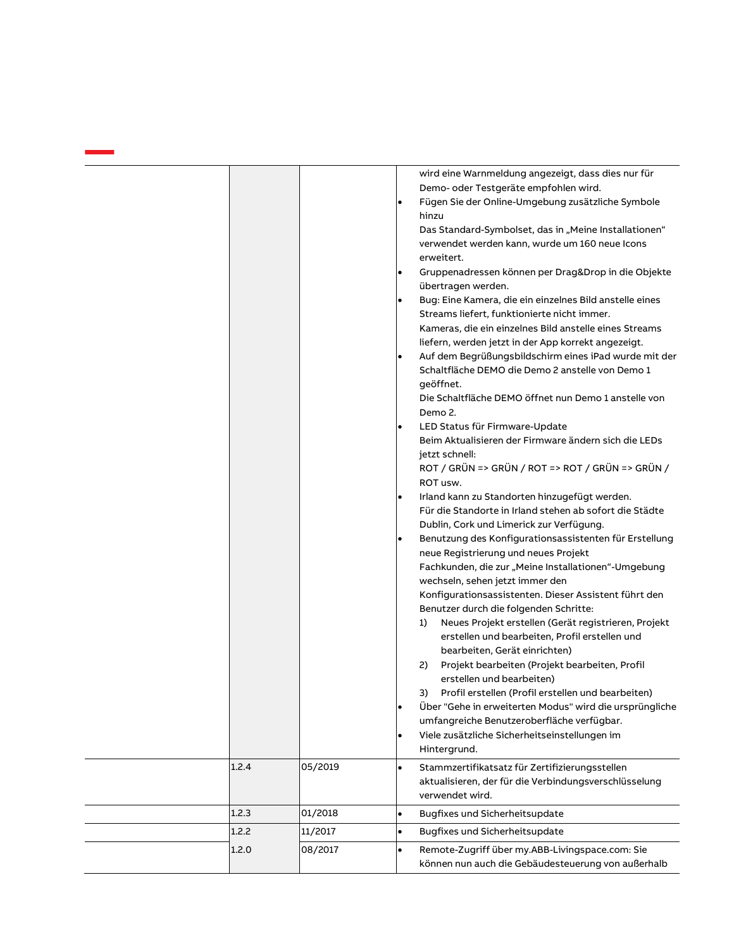| 1.2.4 | 05/2019 | wird eine Warnmeldung angezeigt, dass dies nur für<br>Demo- oder Testgeräte empfohlen wird.<br>Fügen Sie der Online-Umgebung zusätzliche Symbole<br>$\bullet$<br>hinzu<br>Das Standard-Symbolset, das in "Meine Installationen"<br>verwendet werden kann, wurde um 160 neue Icons<br>erweitert.<br>Gruppenadressen können per Drag&Drop in die Objekte<br>übertragen werden.<br>Bug: Eine Kamera, die ein einzelnes Bild anstelle eines<br>Streams liefert, funktionierte nicht immer.<br>Kameras, die ein einzelnes Bild anstelle eines Streams<br>liefern, werden jetzt in der App korrekt angezeigt.<br>Auf dem Begrüßungsbildschirm eines iPad wurde mit der<br>٠<br>Schaltfläche DEMO die Demo 2 anstelle von Demo 1<br>geöffnet.<br>Die Schaltfläche DEMO öffnet nun Demo 1 anstelle von<br>Demo 2.<br>LED Status für Firmware-Update<br>٠<br>Beim Aktualisieren der Firmware ändern sich die LEDs<br>jetzt schnell:<br>ROT / GRÜN => GRÜN / ROT => ROT / GRÜN => GRÜN /<br>ROT usw.<br>Irland kann zu Standorten hinzugefügt werden.<br>$\bullet$<br>Für die Standorte in Irland stehen ab sofort die Städte<br>Dublin, Cork und Limerick zur Verfügung.<br>Benutzung des Konfigurationsassistenten für Erstellung<br>٠<br>neue Registrierung und neues Projekt<br>Fachkunden, die zur "Meine Installationen"-Umgebung<br>wechseln, sehen jetzt immer den<br>Konfigurationsassistenten. Dieser Assistent führt den<br>Benutzer durch die folgenden Schritte:<br>Neues Projekt erstellen (Gerät registrieren, Projekt<br>1)<br>erstellen und bearbeiten, Profil erstellen und<br>bearbeiten, Gerät einrichten)<br>Projekt bearbeiten (Projekt bearbeiten, Profil<br>2)<br>erstellen und bearbeiten)<br>Profil erstellen (Profil erstellen und bearbeiten)<br>3).<br>Über "Gehe in erweiterten Modus" wird die ursprüngliche<br>umfangreiche Benutzeroberfläche verfügbar.<br>Viele zusätzliche Sicherheitseinstellungen im<br>$\bullet$<br>Hintergrund.<br>Stammzertifikatsatz für Zertifizierungsstellen<br>$\bullet$ |
|-------|---------|------------------------------------------------------------------------------------------------------------------------------------------------------------------------------------------------------------------------------------------------------------------------------------------------------------------------------------------------------------------------------------------------------------------------------------------------------------------------------------------------------------------------------------------------------------------------------------------------------------------------------------------------------------------------------------------------------------------------------------------------------------------------------------------------------------------------------------------------------------------------------------------------------------------------------------------------------------------------------------------------------------------------------------------------------------------------------------------------------------------------------------------------------------------------------------------------------------------------------------------------------------------------------------------------------------------------------------------------------------------------------------------------------------------------------------------------------------------------------------------------------------------------------------------------------------------------------------------------------------------------------------------------------------------------------------------------------------------------------------------------------------------------------------------------------------------------------------------------------------------------------------------------------------------------------------------------------------------------------------------------------------------------------|
|       |         | aktualisieren, der für die Verbindungsverschlüsselung<br>verwendet wird.                                                                                                                                                                                                                                                                                                                                                                                                                                                                                                                                                                                                                                                                                                                                                                                                                                                                                                                                                                                                                                                                                                                                                                                                                                                                                                                                                                                                                                                                                                                                                                                                                                                                                                                                                                                                                                                                                                                                                     |
| 1.2.3 | 01/2018 | Bugfixes und Sicherheitsupdate<br>$\bullet$                                                                                                                                                                                                                                                                                                                                                                                                                                                                                                                                                                                                                                                                                                                                                                                                                                                                                                                                                                                                                                                                                                                                                                                                                                                                                                                                                                                                                                                                                                                                                                                                                                                                                                                                                                                                                                                                                                                                                                                  |
| 1.2.2 | 11/2017 | Bugfixes und Sicherheitsupdate<br>$\bullet$                                                                                                                                                                                                                                                                                                                                                                                                                                                                                                                                                                                                                                                                                                                                                                                                                                                                                                                                                                                                                                                                                                                                                                                                                                                                                                                                                                                                                                                                                                                                                                                                                                                                                                                                                                                                                                                                                                                                                                                  |
| 1.2.0 | 08/2017 | Remote-Zugriff über my.ABB-Livingspace.com: Sie<br>$\bullet$<br>können nun auch die Gebäudesteuerung von außerhalb                                                                                                                                                                                                                                                                                                                                                                                                                                                                                                                                                                                                                                                                                                                                                                                                                                                                                                                                                                                                                                                                                                                                                                                                                                                                                                                                                                                                                                                                                                                                                                                                                                                                                                                                                                                                                                                                                                           |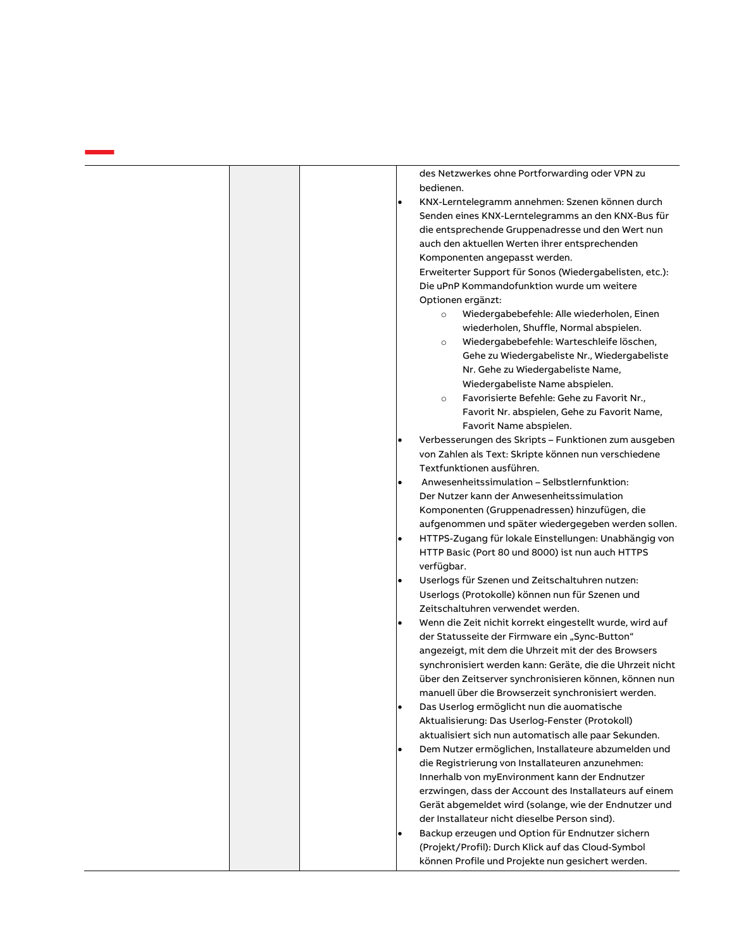des Netzwerkes ohne Portforwarding oder VPN zu

bedienen. • KNX-Lerntelegramm annehmen: Szenen können durch Senden eines KNX-Lerntelegramms an den KNX-Bus für die entsprechende Gruppenadresse und den Wert nun auch den aktuellen Werten ihrer entsprechenden Komponenten angepasst werden. Erweiterter Support für Sonos (Wiedergabelisten, etc.): Die uPnP Kommandofunktion wurde um weitere Optionen ergänzt: o Wiedergabebefehle: Alle wiederholen, Einen wiederholen, Shuffle, Normal abspielen. o Wiedergabebefehle: Warteschleife löschen, Gehe zu Wiedergabeliste Nr., Wiedergabeliste Nr. Gehe zu Wiedergabeliste Name, Wiedergabeliste Name abspielen. o Favorisierte Befehle: Gehe zu Favorit Nr., Favorit Nr. abspielen, Gehe zu Favorit Name, Favorit Name abspielen. • Verbesserungen des Skripts – Funktionen zum ausgeben von Zahlen als Text: Skripte können nun verschiedene Textfunktionen ausführen. • Anwesenheitssimulation – Selbstlernfunktion: Der Nutzer kann der Anwesenheitssimulation Komponenten (Gruppenadressen) hinzufügen, die aufgenommen und später wiedergegeben werden sollen. • HTTPS-Zugang für lokale Einstellungen: Unabhängig von HTTP Basic (Port 80 und 8000) ist nun auch HTTPS verfügbar. • Userlogs für Szenen und Zeitschaltuhren nutzen: Userlogs (Protokolle) können nun für Szenen und Zeitschaltuhren verwendet werden. • Wenn die Zeit nichit korrekt eingestellt wurde, wird auf der Statusseite der Firmware ein "Sync-Button" angezeigt, mit dem die Uhrzeit mit der des Browsers synchronisiert werden kann: Geräte, die die Uhrzeit nicht über den Zeitserver synchronisieren können, können nun manuell über die Browserzeit synchronisiert werden. • Das Userlog ermöglicht nun die auomatische Aktualisierung: Das Userlog-Fenster (Protokoll) aktualisiert sich nun automatisch alle paar Sekunden. • Dem Nutzer ermöglichen, Installateure abzumelden und die Registrierung von Installateuren anzunehmen: Innerhalb von myEnvironment kann der Endnutzer erzwingen, dass der Account des Installateurs auf einem Gerät abgemeldet wird (solange, wie der Endnutzer und der Installateur nicht dieselbe Person sind). • Backup erzeugen und Option für Endnutzer sichern (Projekt/Profil): Durch Klick auf das Cloud-Symbol können Profile und Projekte nun gesichert werden.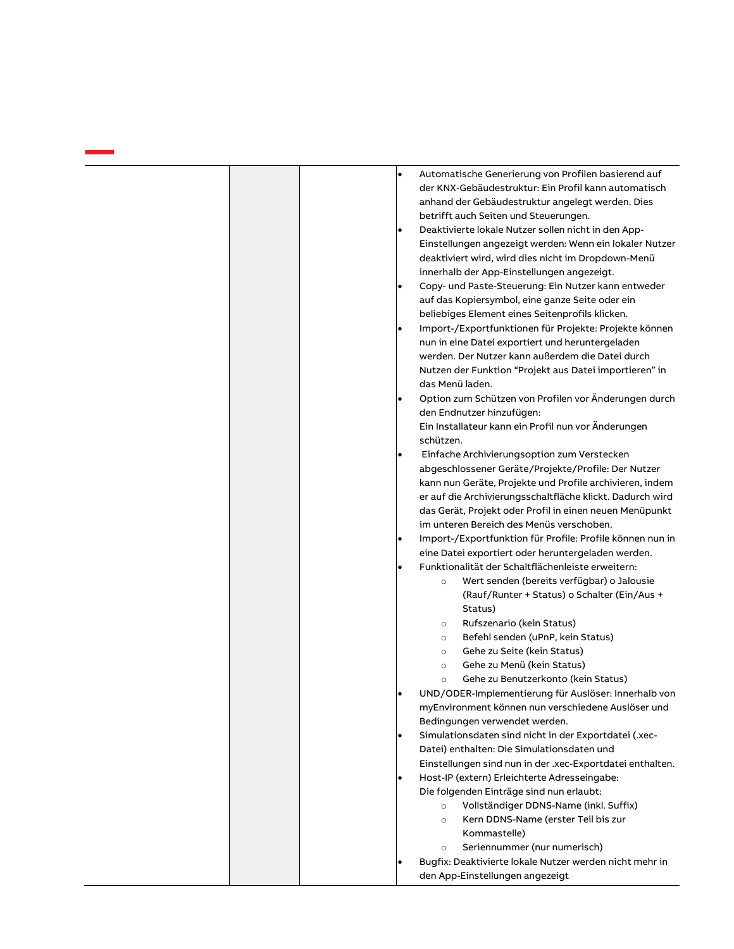|  | $\bullet$ | Automatische Generierung von Profilen basierend auf<br>der KNX-Gebäudestruktur: Ein Profil kann automatisch<br>anhand der Gebäudestruktur angelegt werden. Dies |
|--|-----------|-----------------------------------------------------------------------------------------------------------------------------------------------------------------|
|  |           | betrifft auch Seiten und Steuerungen.                                                                                                                           |
|  | ٠         | Deaktivierte lokale Nutzer sollen nicht in den App-                                                                                                             |
|  |           | Einstellungen angezeigt werden: Wenn ein lokaler Nutzer                                                                                                         |
|  |           | deaktiviert wird, wird dies nicht im Dropdown-Menü                                                                                                              |
|  |           | innerhalb der App-Einstellungen angezeigt.                                                                                                                      |
|  | $\bullet$ | Copy- und Paste-Steuerung: Ein Nutzer kann entweder                                                                                                             |
|  |           | auf das Kopiersymbol, eine ganze Seite oder ein                                                                                                                 |
|  |           | beliebiges Element eines Seitenprofils klicken.                                                                                                                 |
|  | ٠         | Import-/Exportfunktionen für Projekte: Projekte können                                                                                                          |
|  |           | nun in eine Datei exportiert und heruntergeladen                                                                                                                |
|  |           | werden. Der Nutzer kann außerdem die Datei durch                                                                                                                |
|  |           | Nutzen der Funktion "Projekt aus Datei importieren" in                                                                                                          |
|  |           | das Menü laden.                                                                                                                                                 |
|  | $\bullet$ | Option zum Schützen von Profilen vor Änderungen durch                                                                                                           |
|  |           | den Endnutzer hinzufügen:                                                                                                                                       |
|  |           | Ein Installateur kann ein Profil nun vor Änderungen                                                                                                             |
|  |           | schützen.                                                                                                                                                       |
|  | $\bullet$ | Einfache Archivierungsoption zum Verstecken                                                                                                                     |
|  |           | abgeschlossener Geräte/Projekte/Profile: Der Nutzer                                                                                                             |
|  |           | kann nun Geräte, Projekte und Profile archivieren, indem                                                                                                        |
|  |           | er auf die Archivierungsschaltfläche klickt. Dadurch wird                                                                                                       |
|  |           | das Gerät, Projekt oder Profil in einen neuen Menüpunkt                                                                                                         |
|  |           | im unteren Bereich des Menüs verschoben.                                                                                                                        |
|  | ٠         | Import-/Exportfunktion für Profile: Profile können nun in                                                                                                       |
|  |           | eine Datei exportiert oder heruntergeladen werden.                                                                                                              |
|  | $\bullet$ | Funktionalität der Schaltflächenleiste erweitern:                                                                                                               |
|  |           | Wert senden (bereits verfügbar) o Jalousie<br>$\circ$                                                                                                           |
|  |           | (Rauf/Runter + Status) o Schalter (Ein/Aus +<br>Status)                                                                                                         |
|  |           | Rufszenario (kein Status)<br>$\circ$                                                                                                                            |
|  |           | Befehl senden (uPnP, kein Status)<br>$\circ$                                                                                                                    |
|  |           | Gehe zu Seite (kein Status)<br>$\circ$                                                                                                                          |
|  |           | Gehe zu Menü (kein Status)<br>$\circ$                                                                                                                           |
|  |           | Gehe zu Benutzerkonto (kein Status)<br>$\circ$                                                                                                                  |
|  | ٠         | UND/ODER-Implementierung für Auslöser: Innerhalb von                                                                                                            |
|  |           | myEnvironment können nun verschiedene Auslöser und                                                                                                              |
|  |           | Bedingungen verwendet werden.                                                                                                                                   |
|  | ٠         | Simulationsdaten sind nicht in der Exportdatei (.xec-                                                                                                           |
|  |           | Datei) enthalten: Die Simulationsdaten und                                                                                                                      |
|  |           | Einstellungen sind nun in der .xec-Exportdatei enthalten.                                                                                                       |
|  | ٠         | Host-IP (extern) Erleichterte Adresseingabe:                                                                                                                    |
|  |           | Die folgenden Einträge sind nun erlaubt:                                                                                                                        |
|  |           | Vollständiger DDNS-Name (inkl. Suffix)<br>$\circ$                                                                                                               |
|  |           | Kern DDNS-Name (erster Teil bis zur<br>$\circ$                                                                                                                  |
|  |           | Kommastelle)                                                                                                                                                    |
|  |           | Seriennummer (nur numerisch)<br>$\circ$                                                                                                                         |
|  |           | Bugfix: Deaktivierte lokale Nutzer werden nicht mehr in                                                                                                         |
|  |           | den App-Einstellungen angezeigt                                                                                                                                 |

a sa salawan na kara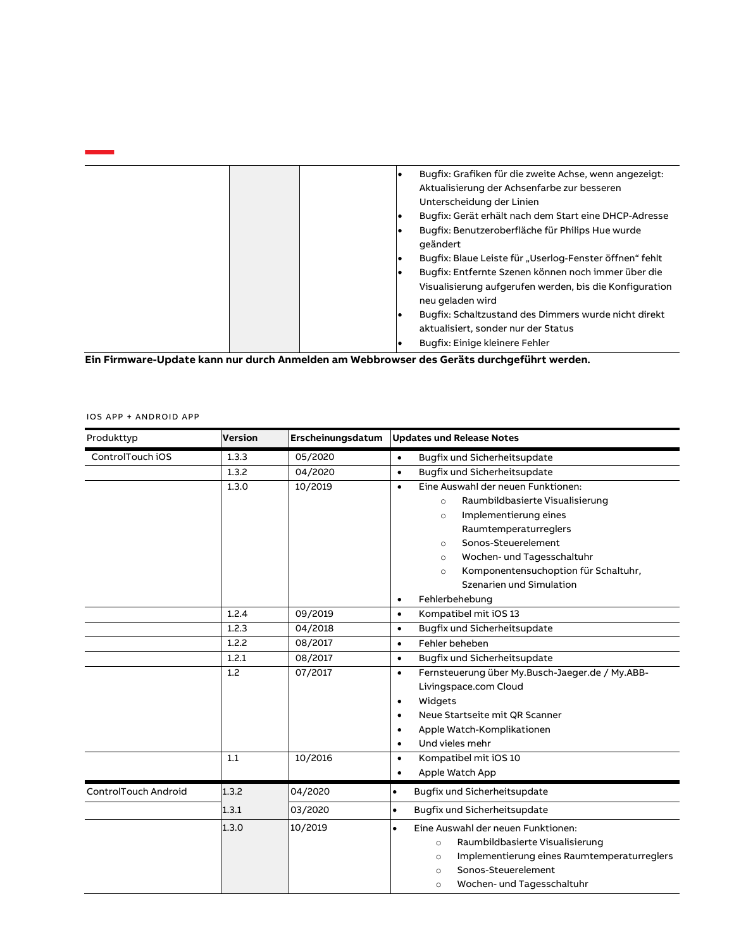|  |  | Bugfix: Grafiken für die zweite Achse, wenn angezeigt:<br>Aktualisierung der Achsenfarbe zur besseren |
|--|--|-------------------------------------------------------------------------------------------------------|
|  |  | Unterscheidung der Linien                                                                             |
|  |  | Bugfix: Gerät erhält nach dem Start eine DHCP-Adresse                                                 |
|  |  | Bugfix: Benutzeroberfläche für Philips Hue wurde                                                      |
|  |  | geändert                                                                                              |
|  |  | Bugfix: Blaue Leiste für "Userlog-Fenster öffnen" fehlt                                               |
|  |  | Bugfix: Entfernte Szenen können noch immer über die                                                   |
|  |  | Visualisierung aufgerufen werden, bis die Konfiguration<br>neu geladen wird                           |
|  |  |                                                                                                       |
|  |  | Bugfix: Schaltzustand des Dimmers wurde nicht direkt                                                  |
|  |  | aktualisiert, sonder nur der Status                                                                   |
|  |  | Bugfix: Einige kleinere Fehler                                                                        |
|  |  |                                                                                                       |

**Ein Firmware-Update kann nur durch Anmelden am Webbrowser des Geräts durchgeführt werden.**

|  |  |  | IOS APP + ANDROID APP |  |
|--|--|--|-----------------------|--|
|--|--|--|-----------------------|--|

| Produkttyp                  | <b>Version</b> | Erscheinungsdatum | <b>Updates und Release Notes</b>                             |
|-----------------------------|----------------|-------------------|--------------------------------------------------------------|
| ControlTouch iOS            | 1.3.3          | 05/2020           | Bugfix und Sicherheitsupdate<br>$\bullet$                    |
|                             | 1.3.2          | 04/2020           | Bugfix und Sicherheitsupdate<br>$\bullet$                    |
|                             | 1.3.0          | 10/2019           | Eine Auswahl der neuen Funktionen:<br>$\bullet$              |
|                             |                |                   | Raumbildbasierte Visualisierung<br>$\circ$                   |
|                             |                |                   | Implementierung eines<br>$\circ$                             |
|                             |                |                   | Raumtemperaturreglers                                        |
|                             |                |                   | Sonos-Steuerelement<br>$\circ$                               |
|                             |                |                   | Wochen- und Tagesschaltuhr<br>$\circ$                        |
|                             |                |                   | Komponentensuchoption für Schaltuhr,<br>$\circ$              |
|                             |                |                   | Szenarien und Simulation                                     |
|                             |                |                   | Fehlerbehebung<br>$\bullet$                                  |
|                             | 1.2.4          | 09/2019           | Kompatibel mit iOS 13<br>$\bullet$                           |
|                             | 1.2.3          | 04/2018           | Bugfix und Sicherheitsupdate<br>$\bullet$                    |
|                             | 1.2.2          | 08/2017           | Fehler beheben<br>$\bullet$                                  |
|                             | 1.2.1          | 08/2017           | Bugfix und Sicherheitsupdate<br>$\bullet$                    |
|                             | 1.2            | 07/2017           | Fernsteuerung über My.Busch-Jaeger.de / My.ABB-<br>$\bullet$ |
|                             |                |                   | Livingspace.com Cloud                                        |
|                             |                |                   | Widgets<br>$\bullet$                                         |
|                             |                |                   | Neue Startseite mit QR Scanner<br>$\bullet$                  |
|                             |                |                   | Apple Watch-Komplikationen<br>$\bullet$                      |
|                             |                |                   | Und vieles mehr<br>$\bullet$                                 |
|                             | 1.1            | 10/2016           | Kompatibel mit iOS 10<br>$\bullet$                           |
|                             |                |                   | Apple Watch App<br>$\bullet$                                 |
| <b>ControlTouch Android</b> | 1.3.2          | 04/2020           | Bugfix und Sicherheitsupdate<br>$\bullet$                    |
|                             | 1.3.1          | 03/2020           | Bugfix und Sicherheitsupdate<br>$\bullet$                    |
|                             | 1.3.0          | 10/2019           | Eine Auswahl der neuen Funktionen:<br>$\bullet$              |
|                             |                |                   | Raumbildbasierte Visualisierung<br>$\circ$                   |
|                             |                |                   | Implementierung eines Raumtemperaturreglers<br>$\circ$       |
|                             |                |                   | Sonos-Steuerelement<br>$\Omega$                              |
|                             |                |                   | Wochen- und Tagesschaltuhr<br>$\circ$                        |